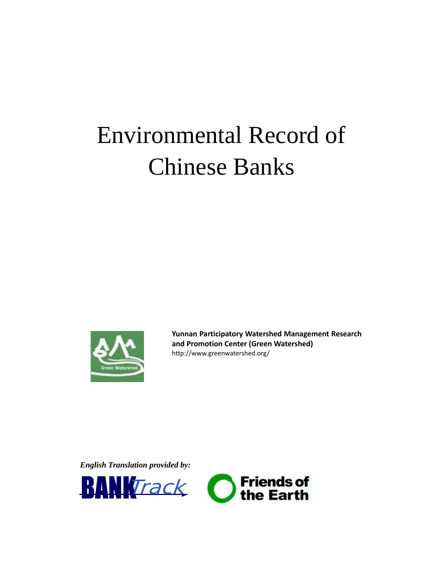# Environmental Record of Chinese Banks



**Yunnan Participatory Watershed Management Research and Promotion Center (Green Watershed)** http://www.greenwatershed.org/

*English Translation provided by:* 

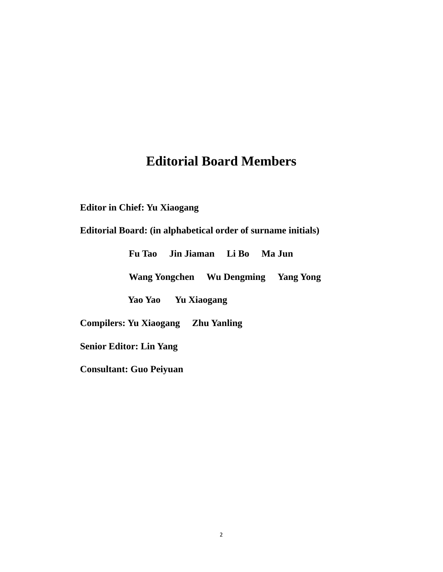### **Editorial Board Members**

**Editor in Chief: Yu Xiaogang** 

### **Editorial Board: (in alphabetical order of surname initials)**

|                                |  | Fu Tao Jin Jiaman Li Bo Ma Jun |  |                                     |
|--------------------------------|--|--------------------------------|--|-------------------------------------|
|                                |  |                                |  | Wang Yongchen Wu Dengming Yang Yong |
|                                |  | Yao Yao Yu Xiaogang            |  |                                     |
|                                |  |                                |  |                                     |
| <b>Senior Editor: Lin Yang</b> |  |                                |  |                                     |
| <b>Consultant: Guo Peiyuan</b> |  |                                |  |                                     |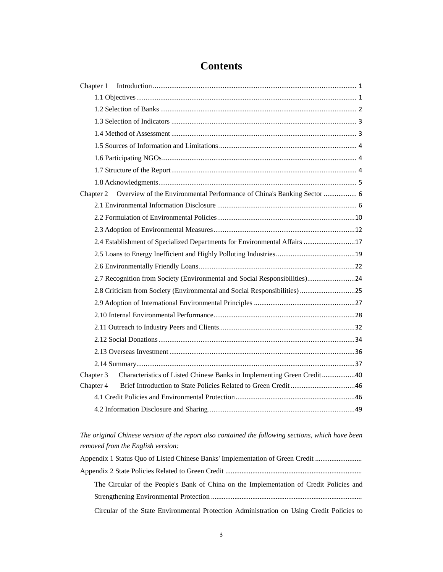| Chapter 1 |                                                                            |  |
|-----------|----------------------------------------------------------------------------|--|
|           |                                                                            |  |
|           |                                                                            |  |
|           |                                                                            |  |
|           |                                                                            |  |
|           |                                                                            |  |
|           |                                                                            |  |
|           |                                                                            |  |
|           |                                                                            |  |
|           |                                                                            |  |
| Chapter 2 | Overview of the Environmental Performance of China's Banking Sector  6     |  |
|           |                                                                            |  |
|           |                                                                            |  |
|           |                                                                            |  |
|           | 2.4 Establishment of Specialized Departments for Environmental Affairs 17  |  |
|           |                                                                            |  |
|           |                                                                            |  |
|           | 2.7 Recognition from Society (Environmental and Social Responsibilities)24 |  |
|           | 2.8 Criticism from Society (Environmental and Social Responsibilities) 25  |  |
|           |                                                                            |  |
|           |                                                                            |  |
|           |                                                                            |  |
|           |                                                                            |  |
|           |                                                                            |  |
|           |                                                                            |  |
| Chapter 3 | Characteristics of Listed Chinese Banks in Implementing Green Credit40     |  |
| Chapter 4 |                                                                            |  |
|           |                                                                            |  |
|           |                                                                            |  |

### **Contents**

*The original Chinese version of the report also contained the following sections, which have been removed from the English version:* 

| Appendix 1 Status Quo of Listed Chinese Banks' Implementation of Green Credit             |
|-------------------------------------------------------------------------------------------|
|                                                                                           |
| The Circular of the People's Bank of China on the Implementation of Credit Policies and   |
|                                                                                           |
| Circular of the State Environmental Protection Administration on Using Credit Policies to |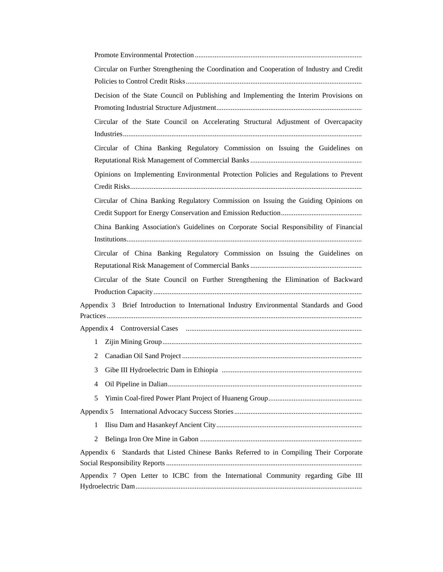| Circular on Further Strengthening the Coordination and Cooperation of Industry and Credit  |
|--------------------------------------------------------------------------------------------|
| Decision of the State Council on Publishing and Implementing the Interim Provisions on     |
|                                                                                            |
| Circular of the State Council on Accelerating Structural Adjustment of Overcapacity        |
|                                                                                            |
| Circular of China Banking Regulatory Commission on Issuing the Guidelines on               |
| Opinions on Implementing Environmental Protection Policies and Regulations to Prevent      |
|                                                                                            |
| Circular of China Banking Regulatory Commission on Issuing the Guiding Opinions on         |
| China Banking Association's Guidelines on Corporate Social Responsibility of Financial     |
|                                                                                            |
| Circular of China Banking Regulatory Commission on Issuing the Guidelines on               |
|                                                                                            |
| Circular of the State Council on Further Strengthening the Elimination of Backward         |
|                                                                                            |
| Appendix 3 Brief Introduction to International Industry Environmental Standards and Good   |
|                                                                                            |
| $\mathbf{1}$                                                                               |
| 2                                                                                          |
| 3                                                                                          |
| 4                                                                                          |
| 5                                                                                          |
| Appendix 5                                                                                 |
| 1                                                                                          |
| 2                                                                                          |
| Appendix 6<br>Standards that Listed Chinese Banks Referred to in Compiling Their Corporate |
| Appendix 7 Open Letter to ICBC from the International Community regarding Gibe III         |
|                                                                                            |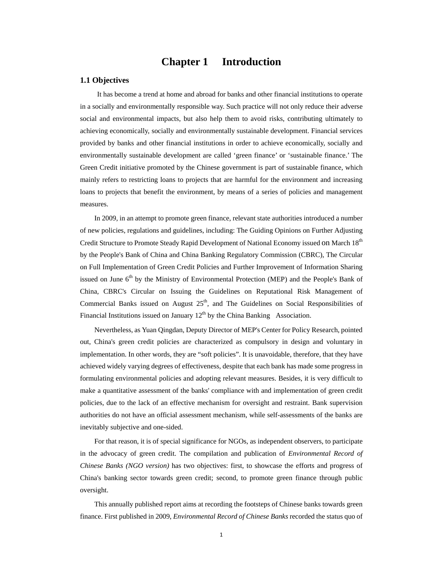### **Chapter 1 Introduction**

#### **1.1 Objectives**

 It has become a trend at home and abroad for banks and other financial institutions to operate in a socially and environmentally responsible way. Such practice will not only reduce their adverse social and environmental impacts, but also help them to avoid risks, contributing ultimately to achieving economically, socially and environmentally sustainable development. Financial services provided by banks and other financial institutions in order to achieve economically, socially and environmentally sustainable development are called 'green finance' or 'sustainable finance.' The Green Credit initiative promoted by the Chinese government is part of sustainable finance, which mainly refers to restricting loans to projects that are harmful for the environment and increasing loans to projects that benefit the environment, by means of a series of policies and management measures.

In 2009, in an attempt to promote green finance, relevant state authorities introduced a number of new policies, regulations and guidelines, including: The Guiding Opinions on Further Adjusting Credit Structure to Promote Steady Rapid Development of National Economy issued on March 18<sup>th</sup> by the People's Bank of China and China Banking Regulatory Commission (CBRC), The Circular on Full Implementation of Green Credit Policies and Further Improvement of Information Sharing issued on June 6<sup>th</sup> by the Ministry of Environmental Protection (MEP) and the People's Bank of China, CBRC's Circular on Issuing the Guidelines on Reputational Risk Management of Commercial Banks issued on August  $25<sup>th</sup>$ , and The Guidelines on Social Responsibilities of Financial Institutions issued on January  $12<sup>th</sup>$  by the China Banking Association.

Nevertheless, as Yuan Qingdan, Deputy Director of MEP's Center for Policy Research, pointed out, China's green credit policies are characterized as compulsory in design and voluntary in implementation. In other words, they are "soft policies". It is unavoidable, therefore, that they have achieved widely varying degrees of effectiveness, despite that each bank has made some progress in formulating environmental policies and adopting relevant measures. Besides, it is very difficult to make a quantitative assessment of the banks' compliance with and implementation of green credit policies, due to the lack of an effective mechanism for oversight and restraint. Bank supervision authorities do not have an official assessment mechanism, while self-assessments of the banks are inevitably subjective and one-sided.

For that reason, it is of special significance for NGOs, as independent observers, to participate in the advocacy of green credit. The compilation and publication of *Environmental Record of Chinese Banks (NGO version)* has two objectives: first, to showcase the efforts and progress of China's banking sector towards green credit; second, to promote green finance through public oversight.

This annually published report aims at recording the footsteps of Chinese banks towards green finance. First published in 2009, *Environmental Record of Chinese Banks* recorded the status quo of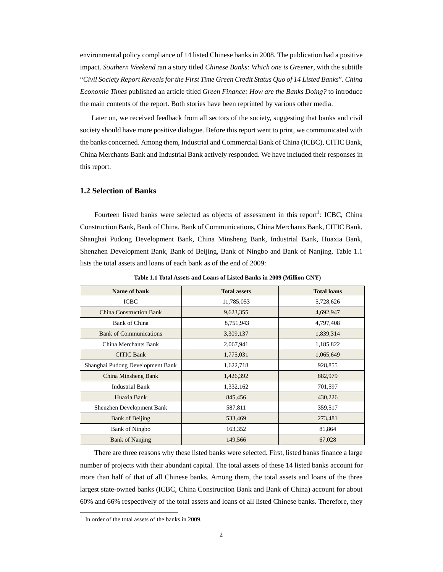environmental policy compliance of 14 listed Chinese banks in 2008. The publication had a positive impact. *Southern Weekend* ran a story titled *Chinese Banks: Which one is Greener*, with the subtitle "*Civil Society Report Reveals for the First Time Green Credit Status Quo of 14 Listed Banks*". *China Economic Times* published an article titled *Green Finance: How are the Banks Doing?* to introduce the main contents of the report. Both stories have been reprinted by various other media.

 Later on, we received feedback from all sectors of the society, suggesting that banks and civil society should have more positive dialogue. Before this report went to print, we communicated with the banks concerned. Among them, Industrial and Commercial Bank of China (ICBC), CITIC Bank, China Merchants Bank and Industrial Bank actively responded. We have included their responses in this report.

#### **1.2 Selection of Banks**

Fourteen listed banks were selected as objects of assessment in this report<sup>1</sup>: ICBC, China Construction Bank, Bank of China, Bank of Communications, China Merchants Bank, CITIC Bank, Shanghai Pudong Development Bank, China Minsheng Bank, Industrial Bank, Huaxia Bank, Shenzhen Development Bank, Bank of Beijing, Bank of Ningbo and Bank of Nanjing. Table 1.1 lists the total assets and loans of each bank as of the end of 2009:

| Name of bank                     | <b>Total assets</b> | <b>Total loans</b> |
|----------------------------------|---------------------|--------------------|
| <b>ICBC</b>                      | 11,785,053          | 5,728,626          |
| <b>China Construction Bank</b>   | 9,623,355           | 4,692,947          |
| Bank of China                    | 8,751,943           | 4,797,408          |
| <b>Bank of Communications</b>    | 3,309,137           | 1,839,314          |
| China Merchants Bank             | 2,067,941           | 1,185,822          |
| <b>CITIC Bank</b>                | 1,775,031           | 1,065,649          |
| Shanghai Pudong Development Bank | 1,622,718           | 928,855            |
| China Minsheng Bank              | 1,426,392           | 882,979            |
| <b>Industrial Bank</b>           | 1,332,162           | 701,597            |
| Huaxia Bank                      | 845,456             | 430,226            |
| Shenzhen Development Bank        | 587,811             | 359,517            |
| Bank of Beijing                  | 533,469             | 273,481            |
| <b>Bank of Ningbo</b>            | 163,352             | 81,864             |
| <b>Bank of Nanjing</b>           | 149,566             | 67,028             |

**Table 1.1 Total Assets and Loans of Listed Banks in 2009 (Million CNY)** 

There are three reasons why these listed banks were selected. First, listed banks finance a large number of projects with their abundant capital. The total assets of these 14 listed banks account for more than half of that of all Chinese banks. Among them, the total assets and loans of the three largest state-owned banks (ICBC, China Construction Bank and Bank of China) account for about 60% and 66% respectively of the total assets and loans of all listed Chinese banks. Therefore, they

<u> 1989 - Johann Barn, mars ann an t-Amhain Aonaich an t-Aonaich an t-Aonaich ann an t-Aonaich ann an t-Aonaich</u>

In order of the total assets of the banks in 2009.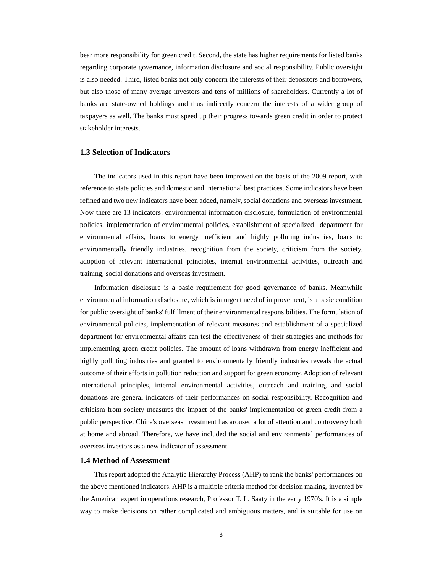bear more responsibility for green credit. Second, the state has higher requirements for listed banks regarding corporate governance, information disclosure and social responsibility. Public oversight is also needed. Third, listed banks not only concern the interests of their depositors and borrowers, but also those of many average investors and tens of millions of shareholders. Currently a lot of banks are state-owned holdings and thus indirectly concern the interests of a wider group of taxpayers as well. The banks must speed up their progress towards green credit in order to protect stakeholder interests.

#### **1.3 Selection of Indicators**

The indicators used in this report have been improved on the basis of the 2009 report, with reference to state policies and domestic and international best practices. Some indicators have been refined and two new indicators have been added, namely, social donations and overseas investment. Now there are 13 indicators: environmental information disclosure, formulation of environmental policies, implementation of environmental policies, establishment of specialized department for environmental affairs, loans to energy inefficient and highly polluting industries, loans to environmentally friendly industries, recognition from the society, criticism from the society, adoption of relevant international principles, internal environmental activities, outreach and training, social donations and overseas investment.

Information disclosure is a basic requirement for good governance of banks. Meanwhile environmental information disclosure, which is in urgent need of improvement, is a basic condition for public oversight of banks' fulfillment of their environmental responsibilities. The formulation of environmental policies, implementation of relevant measures and establishment of a specialized department for environmental affairs can test the effectiveness of their strategies and methods for implementing green credit policies. The amount of loans withdrawn from energy inefficient and highly polluting industries and granted to environmentally friendly industries reveals the actual outcome of their efforts in pollution reduction and support for green economy. Adoption of relevant international principles, internal environmental activities, outreach and training, and social donations are general indicators of their performances on social responsibility. Recognition and criticism from society measures the impact of the banks' implementation of green credit from a public perspective. China's overseas investment has aroused a lot of attention and controversy both at home and abroad. Therefore, we have included the social and environmental performances of overseas investors as a new indicator of assessment.

#### **1.4 Method of Assessment**

This report adopted the Analytic Hierarchy Process (AHP) to rank the banks' performances on the above mentioned indicators. AHP is a multiple criteria method for decision making, invented by the American expert in operations research, Professor T. L. Saaty in the early 1970's. It is a simple way to make decisions on rather complicated and ambiguous matters, and is suitable for use on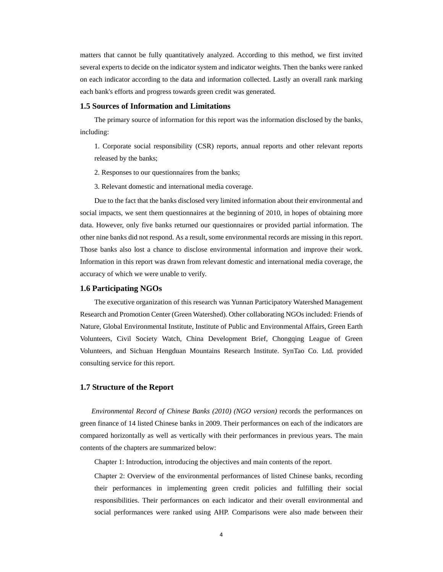matters that cannot be fully quantitatively analyzed. According to this method, we first invited several experts to decide on the indicator system and indicator weights. Then the banks were ranked on each indicator according to the data and information collected. Lastly an overall rank marking each bank's efforts and progress towards green credit was generated.

#### **1.5 Sources of Information and Limitations**

The primary source of information for this report was the information disclosed by the banks, including:

1. Corporate social responsibility (CSR) reports, annual reports and other relevant reports released by the banks;

2. Responses to our questionnaires from the banks;

3. Relevant domestic and international media coverage.

Due to the fact that the banks disclosed very limited information about their environmental and social impacts, we sent them questionnaires at the beginning of 2010, in hopes of obtaining more data. However, only five banks returned our questionnaires or provided partial information. The other nine banks did not respond. As a result, some environmental records are missing in this report. Those banks also lost a chance to disclose environmental information and improve their work. Information in this report was drawn from relevant domestic and international media coverage, the accuracy of which we were unable to verify.

#### **1.6 Participating NGOs**

The executive organization of this research was Yunnan Participatory Watershed Management Research and Promotion Center (Green Watershed). Other collaborating NGOs included: Friends of Nature, Global Environmental Institute, Institute of Public and Environmental Affairs, Green Earth Volunteers, Civil Society Watch, China Development Brief, Chongqing League of Green Volunteers, and Sichuan Hengduan Mountains Research Institute. SynTao Co. Ltd. provided consulting service for this report.

#### **1.7 Structure of the Report**

 *Environmental Record of Chinese Banks (2010) (NGO version)* records the performances on green finance of 14 listed Chinese banks in 2009. Their performances on each of the indicators are compared horizontally as well as vertically with their performances in previous years. The main contents of the chapters are summarized below:

Chapter 1: Introduction, introducing the objectives and main contents of the report.

Chapter 2: Overview of the environmental performances of listed Chinese banks, recording their performances in implementing green credit policies and fulfilling their social responsibilities. Their performances on each indicator and their overall environmental and social performances were ranked using AHP. Comparisons were also made between their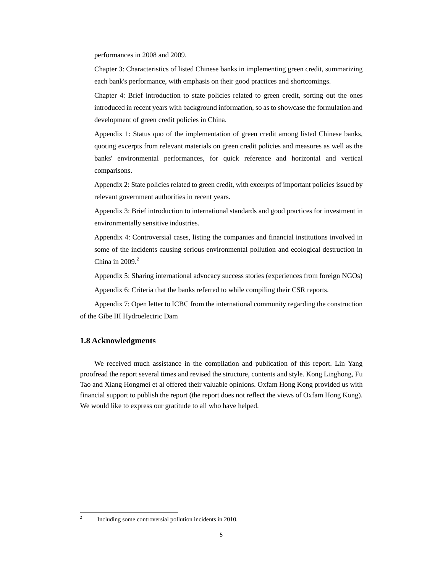performances in 2008 and 2009.

Chapter 3: Characteristics of listed Chinese banks in implementing green credit, summarizing each bank's performance, with emphasis on their good practices and shortcomings.

Chapter 4: Brief introduction to state policies related to green credit, sorting out the ones introduced in recent years with background information, so as to showcase the formulation and development of green credit policies in China.

Appendix 1: Status quo of the implementation of green credit among listed Chinese banks, quoting excerpts from relevant materials on green credit policies and measures as well as the banks' environmental performances, for quick reference and horizontal and vertical comparisons.

Appendix 2: State policies related to green credit, with excerpts of important policies issued by relevant government authorities in recent years.

Appendix 3: Brief introduction to international standards and good practices for investment in environmentally sensitive industries.

Appendix 4: Controversial cases, listing the companies and financial institutions involved in some of the incidents causing serious environmental pollution and ecological destruction in China in  $2009.<sup>2</sup>$ 

Appendix 5: Sharing international advocacy success stories (experiences from foreign NGOs)

Appendix 6: Criteria that the banks referred to while compiling their CSR reports.

Appendix 7: Open letter to ICBC from the international community regarding the construction of the Gibe III Hydroelectric Dam

#### **1.8 Acknowledgments**

We received much assistance in the compilation and publication of this report. Lin Yang proofread the report several times and revised the structure, contents and style. Kong Linghong, Fu Tao and Xiang Hongmei et al offered their valuable opinions. Oxfam Hong Kong provided us with financial support to publish the report (the report does not reflect the views of Oxfam Hong Kong). We would like to express our gratitude to all who have helped.

 2

 Including some controversial pollution incidents in 2010.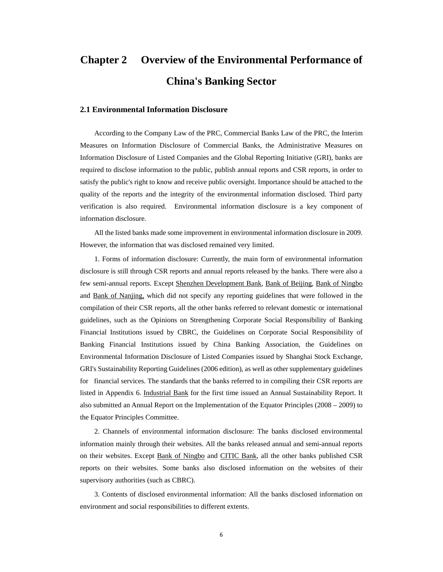# **Chapter 2 Overview of the Environmental Performance of China's Banking Sector**

#### **2.1 Environmental Information Disclosure**

According to the Company Law of the PRC, Commercial Banks Law of the PRC, the Interim Measures on Information Disclosure of Commercial Banks, the Administrative Measures on Information Disclosure of Listed Companies and the Global Reporting Initiative (GRI), banks are required to disclose information to the public, publish annual reports and CSR reports, in order to satisfy the public's right to know and receive public oversight. Importance should be attached to the quality of the reports and the integrity of the environmental information disclosed. Third party verification is also required. Environmental information disclosure is a key component of information disclosure.

All the listed banks made some improvement in environmental information disclosure in 2009. However, the information that was disclosed remained very limited.

1. Forms of information disclosure: Currently, the main form of environmental information disclosure is still through CSR reports and annual reports released by the banks. There were also a few semi-annual reports. Except Shenzhen Development Bank, Bank of Beijing, Bank of Ningbo and Bank of Nanjing, which did not specify any reporting guidelines that were followed in the compilation of their CSR reports, all the other banks referred to relevant domestic or international guidelines, such as the Opinions on Strengthening Corporate Social Responsibility of Banking Financial Institutions issued by CBRC, the Guidelines on Corporate Social Responsibility of Banking Financial Institutions issued by China Banking Association, the Guidelines on Environmental Information Disclosure of Listed Companies issued by Shanghai Stock Exchange, GRI's Sustainability Reporting Guidelines (2006 edition), as well as other supplementary guidelines for financial services. The standards that the banks referred to in compiling their CSR reports are listed in Appendix 6. Industrial Bank for the first time issued an Annual Sustainability Report. It also submitted an Annual Report on the Implementation of the Equator Principles (2008 – 2009) to the Equator Principles Committee.

2. Channels of environmental information disclosure: The banks disclosed environmental information mainly through their websites. All the banks released annual and semi-annual reports on their websites. Except Bank of Ningbo and CITIC Bank, all the other banks published CSR reports on their websites. Some banks also disclosed information on the websites of their supervisory authorities (such as CBRC).

3. Contents of disclosed environmental information: All the banks disclosed information on environment and social responsibilities to different extents.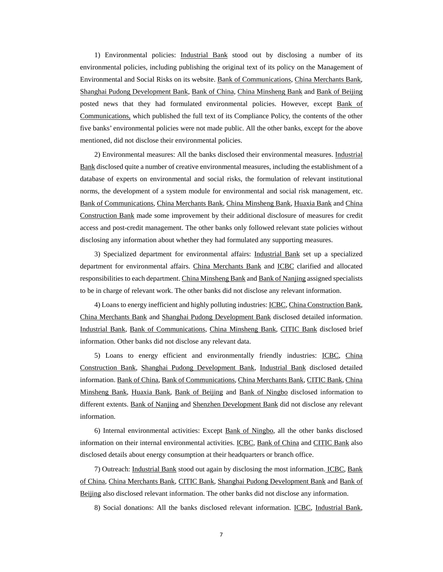1) Environmental policies: Industrial Bank stood out by disclosing a number of its environmental policies, including publishing the original text of its policy on the Management of Environmental and Social Risks on its website. Bank of Communications, China Merchants Bank, Shanghai Pudong Development Bank, Bank of China, China Minsheng Bank and Bank of Beijing posted news that they had formulated environmental policies. However, except Bank of Communications, which published the full text of its Compliance Policy, the contents of the other five banks' environmental policies were not made public. All the other banks, except for the above mentioned, did not disclose their environmental policies.

2) Environmental measures: All the banks disclosed their environmental measures. Industrial Bank disclosed quite a number of creative environmental measures, including the establishment of a database of experts on environmental and social risks, the formulation of relevant institutional norms, the development of a system module for environmental and social risk management, etc. Bank of Communications, China Merchants Bank, China Minsheng Bank, Huaxia Bank and China Construction Bank made some improvement by their additional disclosure of measures for credit access and post-credit management. The other banks only followed relevant state policies without disclosing any information about whether they had formulated any supporting measures.

3) Specialized department for environmental affairs: Industrial Bank set up a specialized department for environmental affairs. China Merchants Bank and ICBC clarified and allocated responsibilities to each department. China Minsheng Bank and Bank of Nanjing assigned specialists to be in charge of relevant work. The other banks did not disclose any relevant information.

4) Loans to energy inefficient and highly polluting industries: ICBC, China Construction Bank, China Merchants Bank and Shanghai Pudong Development Bank disclosed detailed information. Industrial Bank, Bank of Communications, China Minsheng Bank, CITIC Bank disclosed brief information. Other banks did not disclose any relevant data.

5) Loans to energy efficient and environmentally friendly industries: ICBC, China Construction Bank, Shanghai Pudong Development Bank, Industrial Bank disclosed detailed information. Bank of China, Bank of Communications, China Merchants Bank, CITIC Bank, China Minsheng Bank, Huaxia Bank, Bank of Beijing and Bank of Ningbo disclosed information to different extents. Bank of Nanjing and Shenzhen Development Bank did not disclose any relevant information.

6) Internal environmental activities: Except Bank of Ningbo, all the other banks disclosed information on their internal environmental activities. ICBC, Bank of China and CITIC Bank also disclosed details about energy consumption at their headquarters or branch office.

7) Outreach: Industrial Bank stood out again by disclosing the most information. ICBC, Bank of China, China Merchants Bank, CITIC Bank, Shanghai Pudong Development Bank and Bank of Beijing also disclosed relevant information. The other banks did not disclose any information.

8) Social donations: All the banks disclosed relevant information. ICBC, Industrial Bank,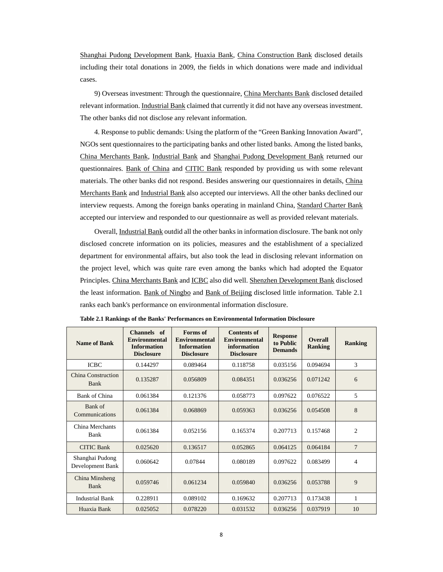Shanghai Pudong Development Bank, Huaxia Bank, China Construction Bank disclosed details including their total donations in 2009, the fields in which donations were made and individual cases.

9) Overseas investment: Through the questionnaire, China Merchants Bank disclosed detailed relevant information. Industrial Bank claimed that currently it did not have any overseas investment. The other banks did not disclose any relevant information.

4. Response to public demands: Using the platform of the "Green Banking Innovation Award", NGOs sent questionnaires to the participating banks and other listed banks. Among the listed banks, China Merchants Bank, Industrial Bank and Shanghai Pudong Development Bank returned our questionnaires. Bank of China and CITIC Bank responded by providing us with some relevant materials. The other banks did not respond. Besides answering our questionnaires in details, China Merchants Bank and Industrial Bank also accepted our interviews. All the other banks declined our interview requests. Among the foreign banks operating in mainland China, Standard Charter Bank accepted our interview and responded to our questionnaire as well as provided relevant materials.

Overall, Industrial Bank outdid all the other banks in information disclosure. The bank not only disclosed concrete information on its policies, measures and the establishment of a specialized department for environmental affairs, but also took the lead in disclosing relevant information on the project level, which was quite rare even among the banks which had adopted the Equator Principles. China Merchants Bank and ICBC also did well. Shenzhen Development Bank disclosed the least information. Bank of Ningbo and Bank of Beijing disclosed little information. Table 2.1 ranks each bank's performance on environmental information disclosure.

| <b>Name of Bank</b>                 | Channels of<br><b>Environmental</b><br><b>Information</b><br><b>Disclosure</b> | Forms of<br><b>Environmental</b><br><b>Information</b><br><b>Disclosure</b> | Contents of<br><b>Environmental</b><br>information<br><b>Disclosure</b> | <b>Response</b><br>to Public<br><b>Demands</b> | <b>Overall</b><br><b>Ranking</b> | <b>Ranking</b> |
|-------------------------------------|--------------------------------------------------------------------------------|-----------------------------------------------------------------------------|-------------------------------------------------------------------------|------------------------------------------------|----------------------------------|----------------|
| <b>ICBC</b>                         | 0.144297                                                                       | 0.089464                                                                    | 0.118758                                                                | 0.035156                                       | 0.094694                         | 3              |
| China Construction<br>Bank          | 0.135287                                                                       | 0.056809                                                                    | 0.084351                                                                | 0.036256                                       | 0.071242                         | 6              |
| Bank of China                       | 0.061384                                                                       | 0.121376                                                                    | 0.058773                                                                | 0.097622                                       | 0.076522                         | 5              |
| Bank of<br>Communications           | 0.061384                                                                       | 0.068869                                                                    | 0.059363                                                                | 0.036256                                       | 0.054508                         | 8              |
| China Merchants<br><b>Bank</b>      | 0.061384                                                                       | 0.052156                                                                    | 0.165374                                                                | 0.207713                                       | 0.157468                         | 2              |
| <b>CITIC Bank</b>                   | 0.025620                                                                       | 0.136517                                                                    | 0.052865                                                                | 0.064125                                       | 0.064184                         | 7              |
| Shanghai Pudong<br>Development Bank | 0.060642                                                                       | 0.07844                                                                     | 0.080189                                                                | 0.097622                                       | 0.083499                         | 4              |
| <b>China Minsheng</b><br>Bank       | 0.059746                                                                       | 0.061234                                                                    | 0.059840                                                                | 0.036256                                       | 0.053788                         | 9              |
| <b>Industrial Bank</b>              | 0.228911                                                                       | 0.089102                                                                    | 0.169632                                                                | 0.207713                                       | 0.173438                         | 1              |
| Huaxia Bank                         | 0.025052                                                                       | 0.078220                                                                    | 0.031532                                                                | 0.036256                                       | 0.037919                         | 10             |

|  | Table 2.1 Rankings of the Banks' Performances on Environmental Information Disclosure |  |
|--|---------------------------------------------------------------------------------------|--|
|--|---------------------------------------------------------------------------------------|--|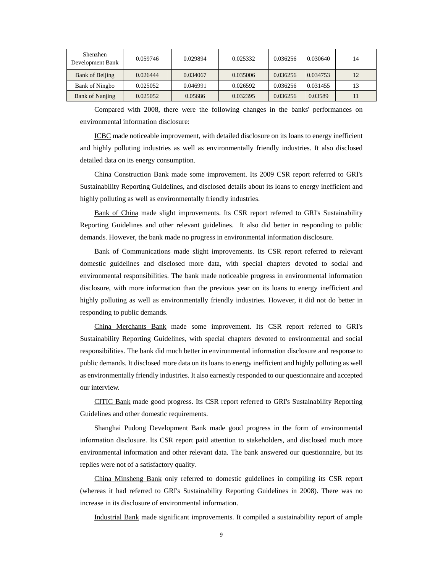| Shenzhen<br>Development Bank | 0.059746 | 0.029894 | 0.025332 | 0.036256 | 0.030640 | 14 |
|------------------------------|----------|----------|----------|----------|----------|----|
| Bank of Beijing              | 0.026444 | 0.034067 | 0.035006 | 0.036256 | 0.034753 | 12 |
| Bank of Ningbo               | 0.025052 | 0.046991 | 0.026592 | 0.036256 | 0.031455 | 13 |
| <b>Bank of Nanjing</b>       | 0.025052 | 0.05686  | 0.032395 | 0.036256 | 0.03589  | 11 |

Compared with 2008, there were the following changes in the banks' performances on environmental information disclosure:

ICBC made noticeable improvement, with detailed disclosure on its loans to energy inefficient and highly polluting industries as well as environmentally friendly industries. It also disclosed detailed data on its energy consumption.

China Construction Bank made some improvement. Its 2009 CSR report referred to GRI's Sustainability Reporting Guidelines, and disclosed details about its loans to energy inefficient and highly polluting as well as environmentally friendly industries.

Bank of China made slight improvements. Its CSR report referred to GRI's Sustainability Reporting Guidelines and other relevant guidelines. It also did better in responding to public demands. However, the bank made no progress in environmental information disclosure.

Bank of Communications made slight improvements. Its CSR report referred to relevant domestic guidelines and disclosed more data, with special chapters devoted to social and environmental responsibilities. The bank made noticeable progress in environmental information disclosure, with more information than the previous year on its loans to energy inefficient and highly polluting as well as environmentally friendly industries. However, it did not do better in responding to public demands.

China Merchants Bank made some improvement. Its CSR report referred to GRI's Sustainability Reporting Guidelines, with special chapters devoted to environmental and social responsibilities. The bank did much better in environmental information disclosure and response to public demands. It disclosed more data on its loans to energy inefficient and highly polluting as well as environmentally friendly industries. It also earnestly responded to our questionnaire and accepted our interview.

CITIC Bank made good progress. Its CSR report referred to GRI's Sustainability Reporting Guidelines and other domestic requirements.

Shanghai Pudong Development Bank made good progress in the form of environmental information disclosure. Its CSR report paid attention to stakeholders, and disclosed much more environmental information and other relevant data. The bank answered our questionnaire, but its replies were not of a satisfactory quality.

China Minsheng Bank only referred to domestic guidelines in compiling its CSR report (whereas it had referred to GRI's Sustainability Reporting Guidelines in 2008). There was no increase in its disclosure of environmental information.

Industrial Bank made significant improvements. It compiled a sustainability report of ample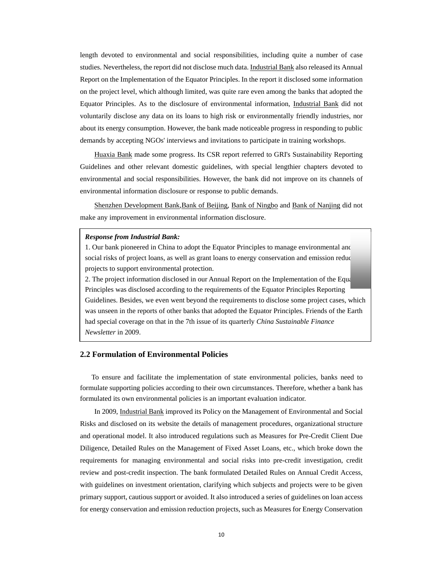length devoted to environmental and social responsibilities, including quite a number of case studies. Nevertheless, the report did not disclose much data. Industrial Bank also released its Annual Report on the Implementation of the Equator Principles. In the report it disclosed some information on the project level, which although limited, was quite rare even among the banks that adopted the Equator Principles. As to the disclosure of environmental information, Industrial Bank did not voluntarily disclose any data on its loans to high risk or environmentally friendly industries, nor about its energy consumption. However, the bank made noticeable progress in responding to public demands by accepting NGOs' interviews and invitations to participate in training workshops.

Huaxia Bank made some progress. Its CSR report referred to GRI's Sustainability Reporting Guidelines and other relevant domestic guidelines, with special lengthier chapters devoted to environmental and social responsibilities. However, the bank did not improve on its channels of environmental information disclosure or response to public demands.

Shenzhen Development Bank,Bank of Beijing, Bank of Ningbo and Bank of Nanjing did not make any improvement in environmental information disclosure.

#### *Response from Industrial Bank:*

1. Our bank pioneered in China to adopt the Equator Principles to manage environmental and social risks of project loans, as well as grant loans to energy conservation and emission reduc projects to support environmental protection.

2. The project information disclosed in our Annual Report on the Implementation of the Equator-Principles was disclosed according to the requirements of the Equator Principles Reporting Guidelines. Besides, we even went beyond the requirements to disclose some project cases, which was unseen in the reports of other banks that adopted the Equator Principles. Friends of the Earth had special coverage on that in the 7th issue of its quarterly *China Sustainable Finance Newsletter* in 2009.

#### **2.2 Formulation of Environmental Policies**

 To ensure and facilitate the implementation of state environmental policies, banks need to formulate supporting policies according to their own circumstances. Therefore, whether a bank has formulated its own environmental policies is an important evaluation indicator.

In 2009, Industrial Bank improved its Policy on the Management of Environmental and Social Risks and disclosed on its website the details of management procedures, organizational structure and operational model. It also introduced regulations such as Measures for Pre-Credit Client Due Diligence, Detailed Rules on the Management of Fixed Asset Loans, etc., which broke down the requirements for managing environmental and social risks into pre-credit investigation, credit review and post-credit inspection. The bank formulated Detailed Rules on Annual Credit Access, with guidelines on investment orientation, clarifying which subjects and projects were to be given primary support, cautious support or avoided. It also introduced a series of guidelines on loan access for energy conservation and emission reduction projects, such as Measures for Energy Conservation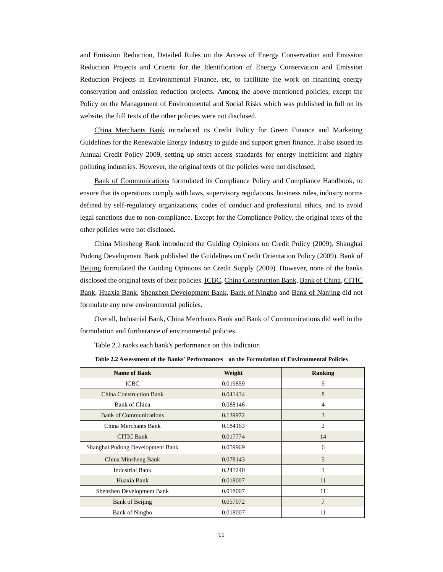and Emission Reduction, Detailed Rules on the Access of Energy Conservation and Emission Reduction Projects and Criteria for the Identification of Energy Conservation and Emission Reduction Projects in Environmental Finance, etc, to facilitate the work on financing energy conservation and emission reduction projects. Among the above mentioned policies, except the Policy on the Management of Environmental and Social Risks which was published in full on its website, the full texts of the other policies were not disclosed.

China Merchants Bank introduced its Credit Policy for Green Finance and Marketing Guidelines for the Renewable Energy Industry to guide and support green finance. It also issued its Annual Credit Policy 2009, setting up strict access standards for energy inefficient and highly polluting industries. However, the original texts of the policies were not disclosed.

Bank of Communications formulated its Compliance Policy and Compliance Handbook, to ensure that its operations comply with laws, supervisory regulations, business rules, industry norms defined by self-regulatory organizations, codes of conduct and professional ethics, and to avoid legal sanctions due to non-compliance. Except for the Compliance Policy, the original texts of the other policies were not disclosed.

China Minsheng Bank introduced the Guiding Opinions on Credit Policy (2009). Shanghai Pudong Development Bank published the Guidelines on Credit Orientation Policy (2009). Bank of Beijing formulated the Guiding Opinions on Credit Supply (2009). However, none of the banks disclosed the original texts of their policies. **ICBC**, China Construction Bank, Bank of China, CITIC Bank, Huaxia Bank, Shenzhen Development Bank, Bank of Ningbo and Bank of Nanjing did not formulate any new environmental policies.

Overall, Industrial Bank, China Merchants Bank and Bank of Communications did well in the formulation and furtherance of environmental policies.

Table 2.2 ranks each bank's performance on this indicator.

| <b>Name of Bank</b>              | Weight   | <b>Ranking</b> |
|----------------------------------|----------|----------------|
| <b>ICBC</b>                      | 0.019859 | 9              |
| <b>China Construction Bank</b>   | 0.041434 | 8              |
| <b>Bank of China</b>             | 0.088146 | $\overline{4}$ |
| <b>Bank of Communications</b>    | 0.139972 | 3              |
| China Merchants Bank             | 0.184163 | 2              |
| <b>CITIC Bank</b>                | 0.017774 | 14             |
| Shanghai Pudong Development Bank | 0.059969 | 6              |
| China Minsheng Bank              | 0.078143 | 5              |
| <b>Industrial Bank</b>           | 0.241240 | 1              |
| Huaxia Bank                      | 0.018007 | 11             |
| Shenzhen Development Bank        | 0.018007 | 11             |
| <b>Bank of Beijing</b>           | 0.057072 | 7              |
| <b>Bank of Ningbo</b>            | 0.018007 | 11             |

**Table 2.2 Assessment of the Banks' Performances on the Formulation of Environmental Policies**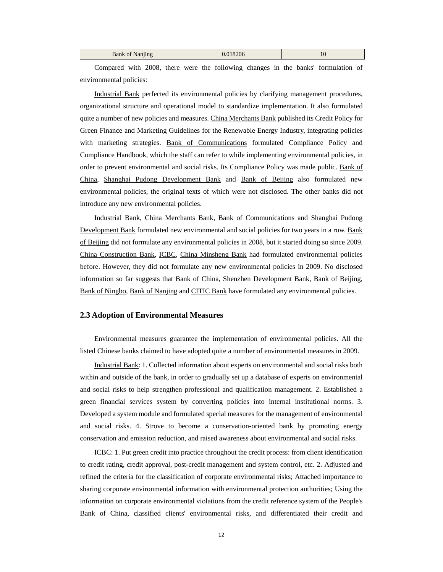| Bank of 1<br>Nanung | 8206 | 10 |
|---------------------|------|----|
|                     |      |    |

Compared with 2008, there were the following changes in the banks' formulation of environmental policies:

Industrial Bank perfected its environmental policies by clarifying management procedures, organizational structure and operational model to standardize implementation. It also formulated quite a number of new policies and measures. China Merchants Bank published its Credit Policy for Green Finance and Marketing Guidelines for the Renewable Energy Industry, integrating policies with marketing strategies. Bank of Communications formulated Compliance Policy and Compliance Handbook, which the staff can refer to while implementing environmental policies, in order to prevent environmental and social risks. Its Compliance Policy was made public. Bank of China, Shanghai Pudong Development Bank and Bank of Beijing also formulated new environmental policies, the original texts of which were not disclosed. The other banks did not introduce any new environmental policies.

Industrial Bank, China Merchants Bank, Bank of Communications and Shanghai Pudong Development Bank formulated new environmental and social policies for two years in a row. Bank of Beijing did not formulate any environmental policies in 2008, but it started doing so since 2009. China Construction Bank, ICBC, China Minsheng Bank had formulated environmental policies before. However, they did not formulate any new environmental policies in 2009. No disclosed information so far suggests that Bank of China, Shenzhen Development Bank, Bank of Beijing, Bank of Ningbo, Bank of Nanjing and CITIC Bank have formulated any environmental policies.

#### **2.3 Adoption of Environmental Measures**

Environmental measures guarantee the implementation of environmental policies. All the listed Chinese banks claimed to have adopted quite a number of environmental measures in 2009.

Industrial Bank: 1. Collected information about experts on environmental and social risks both within and outside of the bank, in order to gradually set up a database of experts on environmental and social risks to help strengthen professional and qualification management. 2. Established a green financial services system by converting policies into internal institutional norms. 3. Developed a system module and formulated special measures for the management of environmental and social risks. 4. Strove to become a conservation-oriented bank by promoting energy conservation and emission reduction, and raised awareness about environmental and social risks.

ICBC: 1. Put green credit into practice throughout the credit process: from client identification to credit rating, credit approval, post-credit management and system control, etc. 2. Adjusted and refined the criteria for the classification of corporate environmental risks; Attached importance to sharing corporate environmental information with environmental protection authorities; Using the information on corporate environmental violations from the credit reference system of the People's Bank of China, classified clients' environmental risks, and differentiated their credit and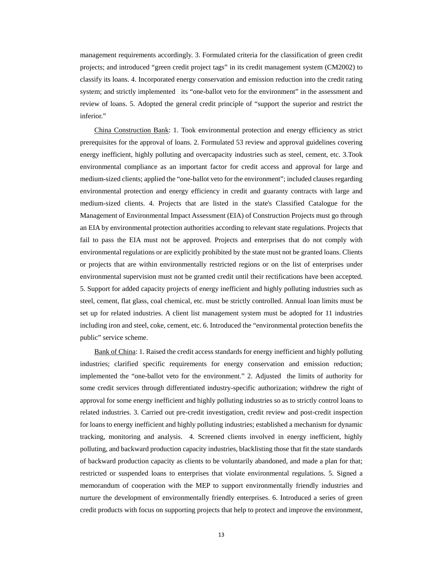management requirements accordingly. 3. Formulated criteria for the classification of green credit projects; and introduced "green credit project tags" in its credit management system (CM2002) to classify its loans. 4. Incorporated energy conservation and emission reduction into the credit rating system; and strictly implemented its "one-ballot veto for the environment" in the assessment and review of loans. 5. Adopted the general credit principle of "support the superior and restrict the inferior."

China Construction Bank: 1. Took environmental protection and energy efficiency as strict prerequisites for the approval of loans. 2. Formulated 53 review and approval guidelines covering energy inefficient, highly polluting and overcapacity industries such as steel, cement, etc. 3.Took environmental compliance as an important factor for credit access and approval for large and medium-sized clients; applied the "one-ballot veto for the environment"; included clauses regarding environmental protection and energy efficiency in credit and guaranty contracts with large and medium-sized clients. 4. Projects that are listed in the state's Classified Catalogue for the Management of Environmental Impact Assessment (EIA) of Construction Projects must go through an EIA by environmental protection authorities according to relevant state regulations. Projects that fail to pass the EIA must not be approved. Projects and enterprises that do not comply with environmental regulations or are explicitly prohibited by the state must not be granted loans. Clients or projects that are within environmentally restricted regions or on the list of enterprises under environmental supervision must not be granted credit until their rectifications have been accepted. 5. Support for added capacity projects of energy inefficient and highly polluting industries such as steel, cement, flat glass, coal chemical, etc. must be strictly controlled. Annual loan limits must be set up for related industries. A client list management system must be adopted for 11 industries including iron and steel, coke, cement, etc. 6. Introduced the "environmental protection benefits the public" service scheme.

Bank of China: 1. Raised the credit access standards for energy inefficient and highly polluting industries; clarified specific requirements for energy conservation and emission reduction; implemented the "one-ballot veto for the environment." 2. Adjusted the limits of authority for some credit services through differentiated industry-specific authorization; withdrew the right of approval for some energy inefficient and highly polluting industries so as to strictly control loans to related industries. 3. Carried out pre-credit investigation, credit review and post-credit inspection for loans to energy inefficient and highly polluting industries; established a mechanism for dynamic tracking, monitoring and analysis. 4. Screened clients involved in energy inefficient, highly polluting, and backward production capacity industries, blacklisting those that fit the state standards of backward production capacity as clients to be voluntarily abandoned, and made a plan for that; restricted or suspended loans to enterprises that violate environmental regulations. 5. Signed a memorandum of cooperation with the MEP to support environmentally friendly industries and nurture the development of environmentally friendly enterprises. 6. Introduced a series of green credit products with focus on supporting projects that help to protect and improve the environment,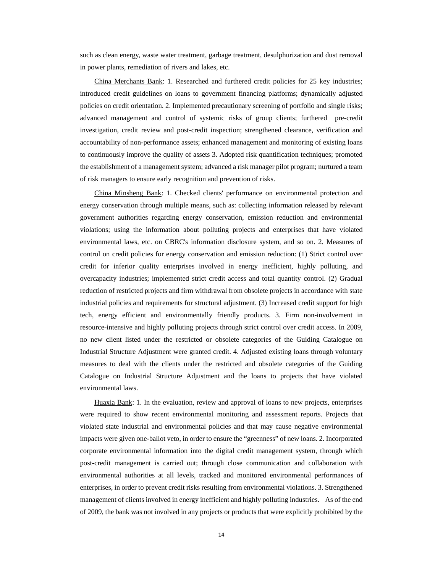such as clean energy, waste water treatment, garbage treatment, desulphurization and dust removal in power plants, remediation of rivers and lakes, etc.

China Merchants Bank: 1. Researched and furthered credit policies for 25 key industries; introduced credit guidelines on loans to government financing platforms; dynamically adjusted policies on credit orientation. 2. Implemented precautionary screening of portfolio and single risks; advanced management and control of systemic risks of group clients; furthered pre-credit investigation, credit review and post-credit inspection; strengthened clearance, verification and accountability of non-performance assets; enhanced management and monitoring of existing loans to continuously improve the quality of assets 3. Adopted risk quantification techniques; promoted the establishment of a management system; advanced a risk manager pilot program; nurtured a team of risk managers to ensure early recognition and prevention of risks.

China Minsheng Bank: 1. Checked clients' performance on environmental protection and energy conservation through multiple means, such as: collecting information released by relevant government authorities regarding energy conservation, emission reduction and environmental violations; using the information about polluting projects and enterprises that have violated environmental laws, etc. on CBRC's information disclosure system, and so on. 2. Measures of control on credit policies for energy conservation and emission reduction: (1) Strict control over credit for inferior quality enterprises involved in energy inefficient, highly polluting, and overcapacity industries; implemented strict credit access and total quantity control. (2) Gradual reduction of restricted projects and firm withdrawal from obsolete projects in accordance with state industrial policies and requirements for structural adjustment. (3) Increased credit support for high tech, energy efficient and environmentally friendly products. 3. Firm non-involvement in resource-intensive and highly polluting projects through strict control over credit access. In 2009, no new client listed under the restricted or obsolete categories of the Guiding Catalogue on Industrial Structure Adjustment were granted credit. 4. Adjusted existing loans through voluntary measures to deal with the clients under the restricted and obsolete categories of the Guiding Catalogue on Industrial Structure Adjustment and the loans to projects that have violated environmental laws.

Huaxia Bank: 1. In the evaluation, review and approval of loans to new projects, enterprises were required to show recent environmental monitoring and assessment reports. Projects that violated state industrial and environmental policies and that may cause negative environmental impacts were given one-ballot veto, in order to ensure the "greenness" of new loans. 2. Incorporated corporate environmental information into the digital credit management system, through which post-credit management is carried out; through close communication and collaboration with environmental authorities at all levels, tracked and monitored environmental performances of enterprises, in order to prevent credit risks resulting from environmental violations. 3. Strengthened management of clients involved in energy inefficient and highly polluting industries. As of the end of 2009, the bank was not involved in any projects or products that were explicitly prohibited by the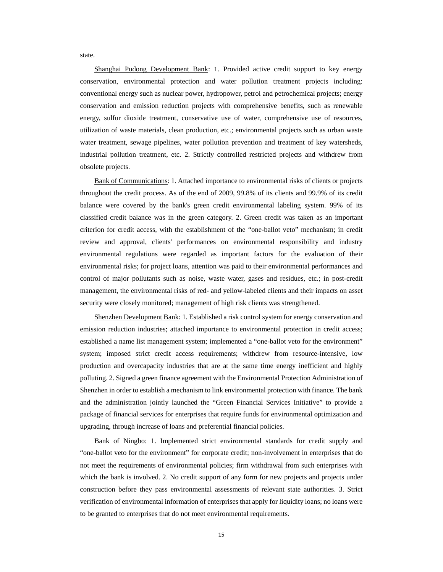state.

Shanghai Pudong Development Bank: 1. Provided active credit support to key energy conservation, environmental protection and water pollution treatment projects including: conventional energy such as nuclear power, hydropower, petrol and petrochemical projects; energy conservation and emission reduction projects with comprehensive benefits, such as renewable energy, sulfur dioxide treatment, conservative use of water, comprehensive use of resources, utilization of waste materials, clean production, etc.; environmental projects such as urban waste water treatment, sewage pipelines, water pollution prevention and treatment of key watersheds, industrial pollution treatment, etc. 2. Strictly controlled restricted projects and withdrew from obsolete projects.

Bank of Communications: 1. Attached importance to environmental risks of clients or projects throughout the credit process. As of the end of 2009, 99.8% of its clients and 99.9% of its credit balance were covered by the bank's green credit environmental labeling system. 99% of its classified credit balance was in the green category. 2. Green credit was taken as an important criterion for credit access, with the establishment of the "one-ballot veto" mechanism; in credit review and approval, clients' performances on environmental responsibility and industry environmental regulations were regarded as important factors for the evaluation of their environmental risks; for project loans, attention was paid to their environmental performances and control of major pollutants such as noise, waste water, gases and residues, etc.; in post-credit management, the environmental risks of red- and yellow-labeled clients and their impacts on asset security were closely monitored; management of high risk clients was strengthened.

Shenzhen Development Bank: 1. Established a risk control system for energy conservation and emission reduction industries; attached importance to environmental protection in credit access; established a name list management system; implemented a "one-ballot veto for the environment" system; imposed strict credit access requirements; withdrew from resource-intensive, low production and overcapacity industries that are at the same time energy inefficient and highly polluting. 2. Signed a green finance agreement with the Environmental Protection Administration of Shenzhen in order to establish a mechanism to link environmental protection with finance. The bank and the administration jointly launched the "Green Financial Services Initiative" to provide a package of financial services for enterprises that require funds for environmental optimization and upgrading, through increase of loans and preferential financial policies.

Bank of Ningbo: 1. Implemented strict environmental standards for credit supply and "one-ballot veto for the environment" for corporate credit; non-involvement in enterprises that do not meet the requirements of environmental policies; firm withdrawal from such enterprises with which the bank is involved. 2. No credit support of any form for new projects and projects under construction before they pass environmental assessments of relevant state authorities. 3. Strict verification of environmental information of enterprises that apply for liquidity loans; no loans were to be granted to enterprises that do not meet environmental requirements.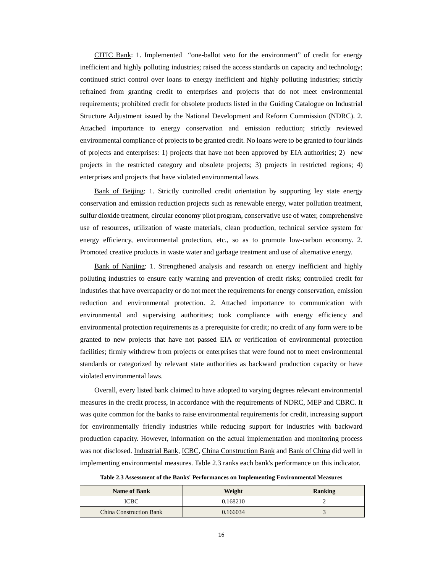CITIC Bank: 1. Implemented "one-ballot veto for the environment" of credit for energy inefficient and highly polluting industries; raised the access standards on capacity and technology; continued strict control over loans to energy inefficient and highly polluting industries; strictly refrained from granting credit to enterprises and projects that do not meet environmental requirements; prohibited credit for obsolete products listed in the Guiding Catalogue on Industrial Structure Adjustment issued by the National Development and Reform Commission (NDRC). 2. Attached importance to energy conservation and emission reduction; strictly reviewed environmental compliance of projects to be granted credit. No loans were to be granted to four kinds of projects and enterprises: 1) projects that have not been approved by EIA authorities; 2) new projects in the restricted category and obsolete projects; 3) projects in restricted regions; 4) enterprises and projects that have violated environmental laws.

Bank of Beijing: 1. Strictly controlled credit orientation by supporting ley state energy conservation and emission reduction projects such as renewable energy, water pollution treatment, sulfur dioxide treatment, circular economy pilot program, conservative use of water, comprehensive use of resources, utilization of waste materials, clean production, technical service system for energy efficiency, environmental protection, etc., so as to promote low-carbon economy. 2. Promoted creative products in waste water and garbage treatment and use of alternative energy.

Bank of Nanjing: 1. Strengthened analysis and research on energy inefficient and highly polluting industries to ensure early warning and prevention of credit risks; controlled credit for industries that have overcapacity or do not meet the requirements for energy conservation, emission reduction and environmental protection. 2. Attached importance to communication with environmental and supervising authorities; took compliance with energy efficiency and environmental protection requirements as a prerequisite for credit; no credit of any form were to be granted to new projects that have not passed EIA or verification of environmental protection facilities; firmly withdrew from projects or enterprises that were found not to meet environmental standards or categorized by relevant state authorities as backward production capacity or have violated environmental laws.

Overall, every listed bank claimed to have adopted to varying degrees relevant environmental measures in the credit process, in accordance with the requirements of NDRC, MEP and CBRC. It was quite common for the banks to raise environmental requirements for credit, increasing support for environmentally friendly industries while reducing support for industries with backward production capacity. However, information on the actual implementation and monitoring process was not disclosed. Industrial Bank, ICBC, China Construction Bank and Bank of China did well in implementing environmental measures. Table 2.3 ranks each bank's performance on this indicator.

|  | Table 2.3 Assessment of the Banks' Performances on Implementing Environmental Measures |  |
|--|----------------------------------------------------------------------------------------|--|
|--|----------------------------------------------------------------------------------------|--|

| <b>Name of Bank</b>            | Weight   | <b>Ranking</b> |
|--------------------------------|----------|----------------|
| ICBC                           | 0.168210 |                |
| <b>China Construction Bank</b> | 0.166034 |                |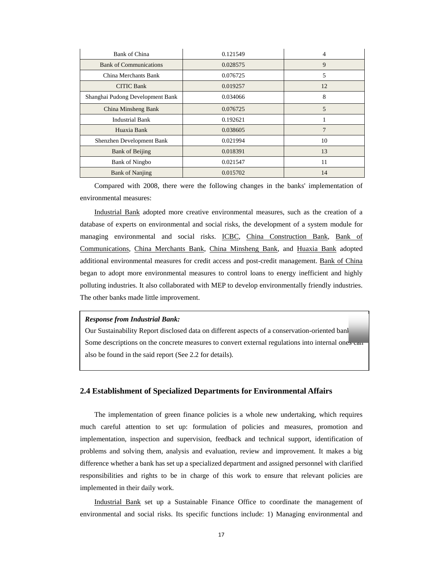| <b>Bank of China</b>             | 0.121549 | 4  |
|----------------------------------|----------|----|
| <b>Bank of Communications</b>    | 0.028575 | 9  |
| China Merchants Bank             | 0.076725 | 5  |
| <b>CITIC Bank</b>                | 0.019257 | 12 |
| Shanghai Pudong Development Bank | 0.034066 | 8  |
| China Minsheng Bank              | 0.076725 | 5  |
| <b>Industrial Bank</b>           | 0.192621 |    |
| Huaxia Bank                      | 0.038605 | 7  |
| Shenzhen Development Bank        | 0.021994 | 10 |
| <b>Bank of Beijing</b>           | 0.018391 | 13 |
| <b>Bank of Ningbo</b>            | 0.021547 | 11 |
| <b>Bank of Nanjing</b>           | 0.015702 | 14 |

Compared with 2008, there were the following changes in the banks' implementation of environmental measures:

Industrial Bank adopted more creative environmental measures, such as the creation of a database of experts on environmental and social risks, the development of a system module for managing environmental and social risks. ICBC, China Construction Bank, Bank of Communications, China Merchants Bank, China Minsheng Bank, and Huaxia Bank adopted additional environmental measures for credit access and post-credit management. Bank of China began to adopt more environmental measures to control loans to energy inefficient and highly polluting industries. It also collaborated with MEP to develop environmentally friendly industries. The other banks made little improvement.

#### *Response from Industrial Bank:*

Some descriptions on the concrete measures to convert external regulations into internal ones can Our Sustainability Report disclosed data on different aspects of a conservation-oriented bank. also be found in the said report (See 2.2 for details).

#### **2.4 Establishment of Specialized Departments for Environmental Affairs**

The implementation of green finance policies is a whole new undertaking, which requires much careful attention to set up: formulation of policies and measures, promotion and implementation, inspection and supervision, feedback and technical support, identification of problems and solving them, analysis and evaluation, review and improvement. It makes a big difference whether a bank has set up a specialized department and assigned personnel with clarified responsibilities and rights to be in charge of this work to ensure that relevant policies are implemented in their daily work.

Industrial Bank set up a Sustainable Finance Office to coordinate the management of environmental and social risks. Its specific functions include: 1) Managing environmental and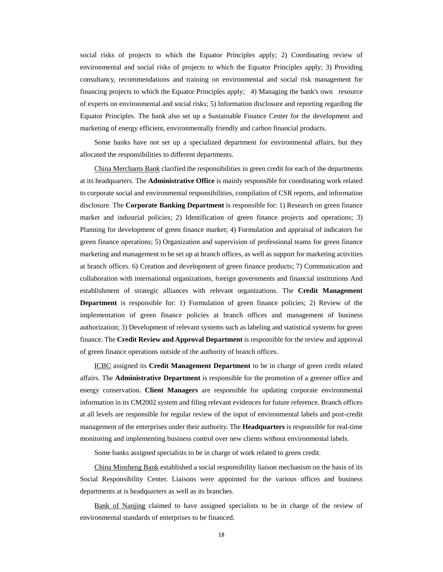social risks of projects to which the Equator Principles apply; 2) Coordinating review of environmental and social risks of projects to which the Equator Principles apply; 3) Providing consultancy, recommendations and training on environmental and social risk management for financing projects to which the Equator Principles apply; 4) Managing the bank's own resource of experts on environmental and social risks; 5) Information disclosure and reporting regarding the Equator Principles. The bank also set up a Sustainable Finance Center for the development and marketing of energy efficient, environmentally friendly and carbon financial products.

Some banks have not set up a specialized department for environmental affairs, but they allocated the responsibilities to different departments.

China Merchants Bank clarified the responsibilities in green credit for each of the departments at its headquarters. The **Administrative Office** is mainly responsible for coordinating work related to corporate social and environmental responsibilities, compilation of CSR reports, and information disclosure. The **Corporate Banking Department** is responsible for: 1) Research on green finance market and industrial policies; 2) Identification of green finance projects and operations; 3) Planning for development of green finance market; 4) Formulation and appraisal of indicators for green finance operations; 5) Organization and supervision of professional teams for green finance marketing and management to be set up at branch offices, as well as support for marketing activities at branch offices. 6) Creation and development of green finance products; 7) Communication and collaboration with international organizations, foreign governments and financial institutions And establishment of strategic alliances with relevant organizations. The **Credit Management Department** is responsible for: 1) Formulation of green finance policies; 2) Review of the implementation of green finance policies at branch offices and management of business authorization; 3) Development of relevant systems such as labeling and statistical systems for green finance. The **Credit Review and Approval Department** is responsible for the review and approval of green finance operations outside of the authority of branch offices.

ICBC assigned its **Credit Management Department** to be in charge of green credit related affairs. The **Administrative Department** is responsible for the promotion of a greener office and energy conservation. **Client Managers** are responsible for updating corporate environmental information in its CM2002 system and filing relevant evidences for future reference. Branch offices at all levels are responsible for regular review of the input of environmental labels and post-credit management of the enterprises under their authority. The **Headquarters** is responsible for real-time monitoring and implementing business control over new clients without environmental labels.

Some banks assigned specialists to be in charge of work related to green credit.

China Minsheng Bank established a social responsibility liaison mechanism on the basis of its Social Responsibility Center. Liaisons were appointed for the various offices and business departments at is headquarters as well as its branches.

Bank of Nanjing claimed to have assigned specialists to be in charge of the review of environmental standards of enterprises to be financed.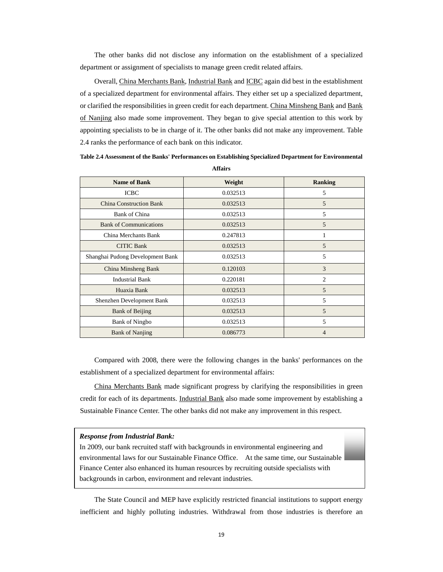The other banks did not disclose any information on the establishment of a specialized department or assignment of specialists to manage green credit related affairs.

Overall, China Merchants Bank, Industrial Bank and ICBC again did best in the establishment of a specialized department for environmental affairs. They either set up a specialized department, or clarified the responsibilities in green credit for each department. China Minsheng Bank and Bank of Nanjing also made some improvement. They began to give special attention to this work by appointing specialists to be in charge of it. The other banks did not make any improvement. Table 2.4 ranks the performance of each bank on this indicator.

**Table 2.4 Assessment of the Banks' Performances on Establishing Specialized Department for Environmental Affairs** 

| <b>Name of Bank</b>              | Weight   | <b>Ranking</b> |
|----------------------------------|----------|----------------|
| <b>ICBC</b>                      | 0.032513 | 5              |
| <b>China Construction Bank</b>   | 0.032513 | 5              |
| <b>Bank of China</b>             | 0.032513 | 5              |
| <b>Bank of Communications</b>    | 0.032513 | 5              |
| China Merchants Bank             | 0.247813 |                |
| <b>CITIC Bank</b>                | 0.032513 | 5              |
| Shanghai Pudong Development Bank | 0.032513 | 5              |
| China Minsheng Bank              | 0.120103 | 3              |
| <b>Industrial Bank</b>           | 0.220181 | $\overline{c}$ |
| Huaxia Bank                      | 0.032513 | 5              |
| Shenzhen Development Bank        | 0.032513 | 5              |
| <b>Bank of Beijing</b>           | 0.032513 | 5              |
| <b>Bank of Ningbo</b>            | 0.032513 | 5              |
| <b>Bank of Nanjing</b>           | 0.086773 | 4              |

Compared with 2008, there were the following changes in the banks' performances on the establishment of a specialized department for environmental affairs:

China Merchants Bank made significant progress by clarifying the responsibilities in green credit for each of its departments. Industrial Bank also made some improvement by establishing a Sustainable Finance Center. The other banks did not make any improvement in this respect.

#### *Response from Industrial Bank:*

Finance Center also enhanced its human resources by recruiting outside specialists with In 2009, our bank recruited staff with backgrounds in environmental engineering and environmental laws for our Sustainable Finance Office. At the same time, our Sustainable backgrounds in carbon, environment and relevant industries.

The State Council and MEP have explicitly restricted financial institutions to support energy inefficient and highly polluting industries. Withdrawal from those industries is therefore an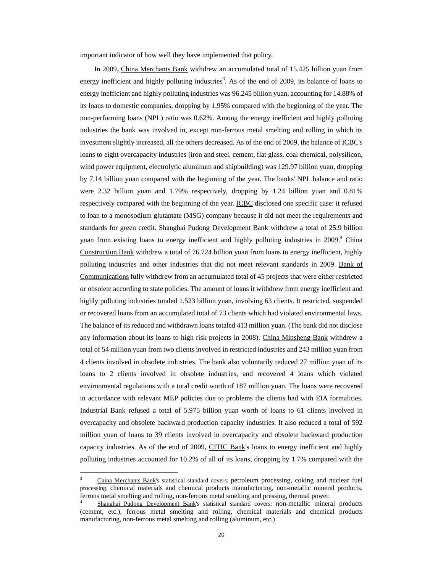important indicator of how well they have implemented that policy.

In 2009, China Merchants Bank withdrew an accumulated total of 15.425 billion yuan from energy inefficient and highly polluting industries<sup>3</sup>. As of the end of 2009, its balance of loans to energy inefficient and highly polluting industries was 96.245 billion yuan, accounting for 14.88% of its loans to domestic companies, dropping by 1.95% compared with the beginning of the year. The non-performing loans (NPL) ratio was 0.62%. Among the energy inefficient and highly polluting industries the bank was involved in, except non-ferrous metal smelting and rolling in which its investment slightly increased, all the others decreased. As of the end of 2009, the balance of ICBC's loans to eight overcapacity industries (iron and steel, cement, flat glass, coal chemical, polysilicon, wind power equipment, electrolytic aluminum and shipbuilding) was 129.97 billion yuan, dropping by 7.14 billion yuan compared with the beginning of the year. The banks' NPL balance and ratio were 2.32 billion yuan and 1.79% respectively, dropping by 1.24 billion yuan and 0.81% respectively compared with the beginning of the year. ICBC disclosed one specific case: it refused to loan to a monosodium glutamate (MSG) company because it did not meet the requirements and standards for green credit. Shanghai Pudong Development Bank withdrew a total of 25.9 billion yuan from existing loans to energy inefficient and highly polluting industries in 2009.<sup>4</sup> China Construction Bank withdrew a total of 76.724 billion yuan from loans to energy inefficient, highly polluting industries and other industries that did not meet relevant standards in 2009. Bank of Communications fully withdrew from an accumulated total of 45 projects that were either restricted or obsolete according to state policies. The amount of loans it withdrew from energy inefficient and highly polluting industries totaled 1.523 billion yuan, involving 63 clients. It restricted, suspended or recovered loans from an accumulated total of 73 clients which had violated environmental laws. The balance of its reduced and withdrawn loans totaled 413 million yuan. (The bank did not disclose any information about its loans to high risk projects in 2008). China Minsheng Bank withdrew a total of 54 million yuan from two clients involved in restricted industries and 243 million yuan from 4 clients involved in obsolete industries. The bank also voluntarily reduced 27 million yuan of its loans to 2 clients involved in obsolete industries, and recovered 4 loans which violated environmental regulations with a total credit worth of 187 million yuan. The loans were recovered in accordance with relevant MEP policies due to problems the clients had with EIA formalities. Industrial Bank refused a total of 5.975 billion yuan worth of loans to 61 clients involved in overcapacity and obsolete backward production capacity industries. It also reduced a total of 592 million yuan of loans to 39 clients involved in overcapacity and obsolete backward production capacity industries. As of the end of 2009, CITIC Bank's loans to energy inefficient and highly polluting industries accounted for 10.2% of all of its loans, dropping by 1.7% compared with the

<u> 1989 - Johann Barn, mars ann an t-Amhain Aonaich an t-Aonaich an t-Aonaich ann an t-Aonaich ann an t-Aonaich</u>

<sup>3</sup> China Merchants Bank's statistical standard covers: petroleum processing, coking and nuclear fuel processing, chemical materials and chemical products manufacturing, non-metallic mineral products, ferrous metal smelting and rolling, non-ferrous metal smelting and pressing, thermal power.

<sup>4</sup> Shanghai Pudong Development Bank's statistical standard covers: non-metallic mineral products (cement, etc.), ferrous metal smelting and rolling, chemical materials and chemical products manufacturing, non-ferrous metal smelting and rolling (aluminum, etc.)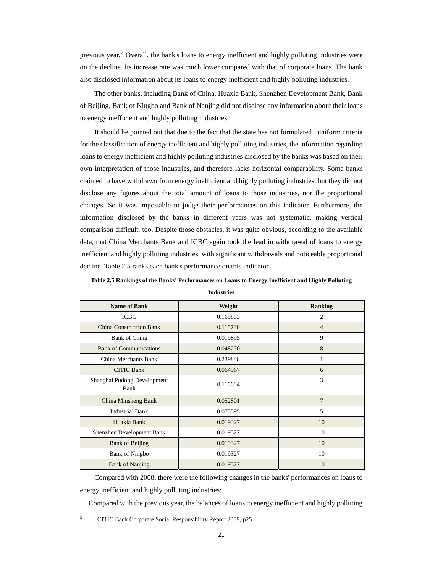previous year.<sup>5</sup> Overall, the bank's loans to energy inefficient and highly polluting industries were on the decline. Its increase rate was much lower compared with that of corporate loans. The bank also disclosed information about its loans to energy inefficient and highly polluting industries.

The other banks, including Bank of China, Huaxia Bank, Shenzhen Development Bank, Bank of Beijing, Bank of Ningbo and Bank of Nanjing did not disclose any information about their loans to energy inefficient and highly polluting industries.

It should be pointed out that due to the fact that the state has not formulated uniform criteria for the classification of energy inefficient and highly polluting industries, the information regarding loans to energy inefficient and highly polluting industries disclosed by the banks was based on their own interpretation of those industries, and therefore lacks horizontal comparability. Some banks claimed to have withdrawn from energy inefficient and highly polluting industries, but they did not disclose any figures about the total amount of loans to those industries, nor the proportional changes. So it was impossible to judge their performances on this indicator. Furthermore, the information disclosed by the banks in different years was not systematic, making vertical comparison difficult, too. Despite those obstacles, it was quite obvious, according to the available data, that China Merchants Bank and ICBC again took the lead in withdrawal of loans to energy inefficient and highly polluting industries, with significant withdrawals and noticeable proportional decline. Table 2.5 ranks each bank's performance on this indicator.

| Table 2.5 Rankings of the Banks' Performances on Loans to Energy Inefficient and Highly Polluting |  |  |
|---------------------------------------------------------------------------------------------------|--|--|
|                                                                                                   |  |  |

| <b>Name of Bank</b>                 | Weight   | Ranking        |
|-------------------------------------|----------|----------------|
| <b>ICBC</b>                         | 0.169853 | 2              |
| <b>China Construction Bank</b>      | 0.115730 | $\overline{4}$ |
| <b>Bank of China</b>                | 0.019895 | 9              |
| <b>Bank of Communications</b>       | 0.048270 | 8              |
| China Merchants Bank                | 0.239848 | 1              |
| <b>CITIC Bank</b>                   | 0.064967 | 6              |
| Shanghai Pudong Development<br>Bank | 0.116604 | 3              |
| China Minsheng Bank                 | 0.052801 | 7              |
| <b>Industrial Bank</b>              | 0.075395 | 5              |
| Huaxia Bank                         | 0.019327 | 10             |
| Shenzhen Development Bank           | 0.019327 | 10             |
| <b>Bank of Beijing</b>              | 0.019327 | 10             |
| <b>Bank of Ningbo</b>               | 0.019327 | 10             |
| <b>Bank of Nanjing</b>              | 0.019327 | 10             |

**Industries** 

 Compared with 2008, there were the following changes in the banks' performances on loans to energy inefficient and highly polluting industries:

Compared with the previous year, the balances of loans to energy inefficient and highly polluting

5

 CITIC Bank Corporate Social Responsibility Report 2009, p25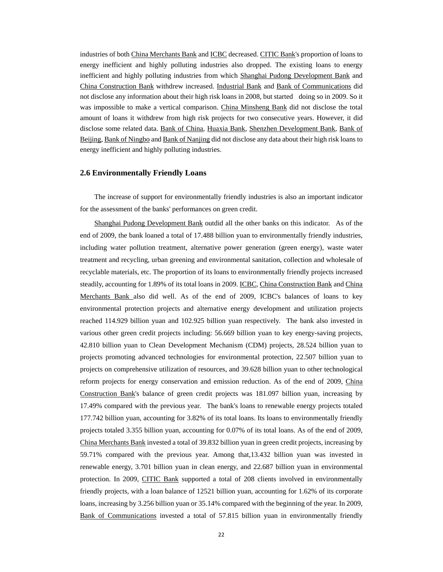industries of both China Merchants Bank and ICBC decreased. CITIC Bank's proportion of loans to energy inefficient and highly polluting industries also dropped. The existing loans to energy inefficient and highly polluting industries from which Shanghai Pudong Development Bank and China Construction Bank withdrew increased. Industrial Bank and Bank of Communications did not disclose any information about their high risk loans in 2008, but started doing so in 2009. So it was impossible to make a vertical comparison. China Minsheng Bank did not disclose the total amount of loans it withdrew from high risk projects for two consecutive years. However, it did disclose some related data. Bank of China, Huaxia Bank, Shenzhen Development Bank, Bank of Beijing, Bank of Ningbo and Bank of Nanjing did not disclose any data about their high risk loans to energy inefficient and highly polluting industries.

#### **2.6 Environmentally Friendly Loans**

The increase of support for environmentally friendly industries is also an important indicator for the assessment of the banks' performances on green credit.

Shanghai Pudong Development Bank outdid all the other banks on this indicator. As of the end of 2009, the bank loaned a total of 17.488 billion yuan to environmentally friendly industries, including water pollution treatment, alternative power generation (green energy), waste water treatment and recycling, urban greening and environmental sanitation, collection and wholesale of recyclable materials, etc. The proportion of its loans to environmentally friendly projects increased steadily, accounting for 1.89% of its total loans in 2009. ICBC, China Construction Bank and China Merchants Bank also did well. As of the end of 2009, ICBC's balances of loans to key environmental protection projects and alternative energy development and utilization projects reached 114.929 billion yuan and 102.925 billion yuan respectively. The bank also invested in various other green credit projects including: 56.669 billion yuan to key energy-saving projects, 42.810 billion yuan to Clean Development Mechanism (CDM) projects, 28.524 billion yuan to projects promoting advanced technologies for environmental protection, 22.507 billion yuan to projects on comprehensive utilization of resources, and 39.628 billion yuan to other technological reform projects for energy conservation and emission reduction. As of the end of 2009, China Construction Bank's balance of green credit projects was 181.097 billion yuan, increasing by 17.49% compared with the previous year. The bank's loans to renewable energy projects totaled 177.742 billion yuan, accounting for 3.82% of its total loans. Its loans to environmentally friendly projects totaled 3.355 billion yuan, accounting for 0.07% of its total loans. As of the end of 2009, China Merchants Bank invested a total of 39.832 billion yuan in green credit projects, increasing by 59.71% compared with the previous year. Among that,13.432 billion yuan was invested in renewable energy, 3.701 billion yuan in clean energy, and 22.687 billion yuan in environmental protection. In 2009, CITIC Bank supported a total of 208 clients involved in environmentally friendly projects, with a loan balance of 12521 billion yuan, accounting for 1.62% of its corporate loans, increasing by 3.256 billion yuan or 35.14% compared with the beginning of the year. In 2009, Bank of Communications invested a total of 57.815 billion yuan in environmentally friendly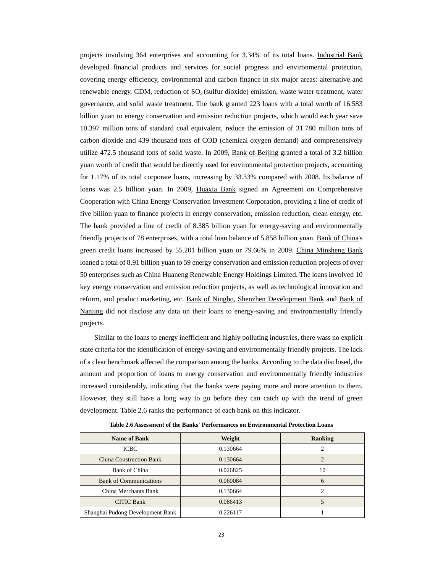projects involving 364 enterprises and accounting for 3.34% of its total loans. Industrial Bank developed financial products and services for social progress and environmental protection, covering energy efficiency, environmental and carbon finance in six major areas: alternative and renewable energy, CDM, reduction of  $SO<sub>2</sub>$  (sulfur dioxide) emission, waste water treatment, water governance, and solid waste treatment. The bank granted 223 loans with a total worth of 16.583 billion yuan to energy conservation and emission reduction projects, which would each year save 10.397 million tons of standard coal equivalent, reduce the emission of 31.780 million tons of carbon dioxide and 439 thousand tons of COD (chemical oxygen demand) and comprehensively utilize 472.5 thousand tons of solid waste. In 2009, Bank of Beijing granted a total of 3.2 billion yuan worth of credit that would be directly used for environmental protection projects, accounting for 1.17% of its total corporate loans, increasing by 33.33% compared with 2008. Its balance of loans was 2.5 billion yuan. In 2009, Huaxia Bank signed an Agreement on Comprehensive Cooperation with China Energy Conservation Investment Corporation, providing a line of credit of five billion yuan to finance projects in energy conservation, emission reduction, clean energy, etc. The bank provided a line of credit of 8.385 billion yuan for energy-saving and environmentally friendly projects of 78 enterprises, with a total loan balance of 5.858 billion yuan. Bank of China's green credit loans increased by 55.201 billion yuan or 79.66% in 2009. China Minsheng Bank loaned a total of 8.91 billion yuan to 59 energy conservation and emission reduction projects of over 50 enterprises such as China Huaneng Renewable Energy Holdings Limited. The loans involved 10 key energy conservation and emission reduction projects, as well as technological innovation and reform, and product marketing, etc. Bank of Ningbo, Shenzhen Development Bank and Bank of Nanjing did not disclose any data on their loans to energy-saving and environmentally friendly projects.

Similar to the loans to energy inefficient and highly polluting industries, there wass no explicit state criteria for the identification of energy-saving and environmentally friendly projects. The lack of a clear benchmark affected the comparison among the banks. According to the data disclosed, the amount and proportion of loans to energy conservation and environmentally friendly industries increased considerably, indicating that the banks were paying more and more attention to them. However, they still have a long way to go before they can catch up with the trend of green development. Table 2.6 ranks the performance of each bank on this indicator.

| <b>Name of Bank</b>              | Weight   | Ranking |
|----------------------------------|----------|---------|
| <b>ICBC</b>                      | 0.130664 |         |
| <b>China Construction Bank</b>   | 0.130664 |         |
| Bank of China                    | 0.026825 | 10      |
| <b>Bank of Communications</b>    | 0.060084 | 6       |
| China Merchants Bank             | 0.130664 |         |
| <b>CITIC Bank</b>                | 0.086413 |         |
| Shanghai Pudong Development Bank | 0.226117 |         |

**Table 2.6 Assessment of the Banks' Performances on Environmental Protection Loans**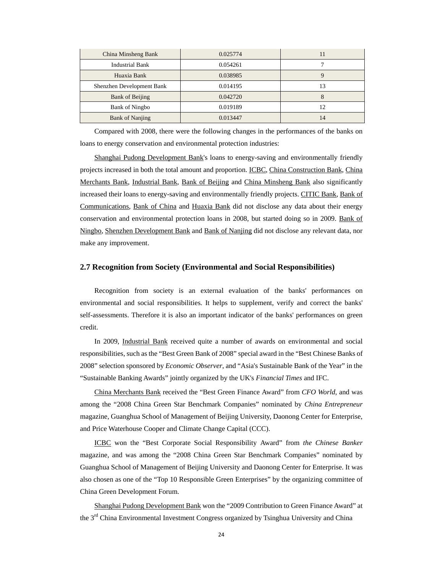| China Minsheng Bank       | 0.025774 | 11 |
|---------------------------|----------|----|
| Industrial Bank           | 0.054261 |    |
| Huaxia Bank               | 0.038985 |    |
| Shenzhen Development Bank | 0.014195 | 13 |
| <b>Bank of Beijing</b>    | 0.042720 |    |
| <b>Bank of Ningbo</b>     | 0.019189 | 12 |
| <b>Bank of Nanjing</b>    | 0.013447 | 14 |

Compared with 2008, there were the following changes in the performances of the banks on loans to energy conservation and environmental protection industries:

Shanghai Pudong Development Bank's loans to energy-saving and environmentally friendly projects increased in both the total amount and proportion. ICBC, China Construction Bank, China Merchants Bank, Industrial Bank, Bank of Beijing and China Minsheng Bank also significantly increased their loans to energy-saving and environmentally friendly projects. CITIC Bank, Bank of Communications, Bank of China and Huaxia Bank did not disclose any data about their energy conservation and environmental protection loans in 2008, but started doing so in 2009. Bank of Ningbo, Shenzhen Development Bank and Bank of Nanjing did not disclose any relevant data, nor make any improvement.

#### **2.7 Recognition from Society (Environmental and Social Responsibilities)**

Recognition from society is an external evaluation of the banks' performances on environmental and social responsibilities. It helps to supplement, verify and correct the banks' self-assessments. Therefore it is also an important indicator of the banks' performances on green credit.

In 2009, Industrial Bank received quite a number of awards on environmental and social responsibilities, such as the "Best Green Bank of 2008" special award in the "Best Chinese Banks of 2008" selection sponsored by *Economic Observer*, and "Asia's Sustainable Bank of the Year" in the "Sustainable Banking Awards" jointly organized by the UK's *Financial Times* and IFC.

China Merchants Bank received the "Best Green Finance Award" from *CFO World*, and was among the "2008 China Green Star Benchmark Companies" nominated by *China Entrepreneur* magazine, Guanghua School of Management of Beijing University, Daonong Center for Enterprise, and Price Waterhouse Cooper and Climate Change Capital (CCC).

ICBC won the "Best Corporate Social Responsibility Award" from *the Chinese Banker* magazine, and was among the "2008 China Green Star Benchmark Companies" nominated by Guanghua School of Management of Beijing University and Daonong Center for Enterprise. It was also chosen as one of the "Top 10 Responsible Green Enterprises" by the organizing committee of China Green Development Forum.

Shanghai Pudong Development Bank won the "2009 Contribution to Green Finance Award" at the 3<sup>rd</sup> China Environmental Investment Congress organized by Tsinghua University and China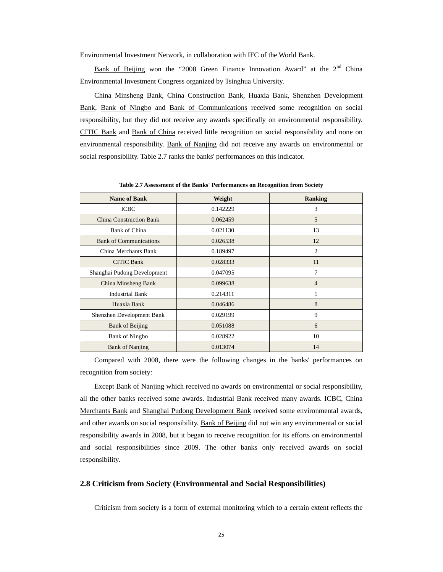Environmental Investment Network, in collaboration with IFC of the World Bank.

Bank of Beijing won the "2008 Green Finance Innovation Award" at the 2<sup>nd</sup> China Environmental Investment Congress organized by Tsinghua University.

China Minsheng Bank, China Construction Bank, Huaxia Bank, Shenzhen Development Bank, Bank of Ningbo and Bank of Communications received some recognition on social responsibility, but they did not receive any awards specifically on environmental responsibility. CITIC Bank and Bank of China received little recognition on social responsibility and none on environmental responsibility. Bank of Nanjing did not receive any awards on environmental or social responsibility. Table 2.7 ranks the banks' performances on this indicator.

| <b>Name of Bank</b>            | Weight   | <b>Ranking</b> |
|--------------------------------|----------|----------------|
| <b>ICBC</b>                    | 0.142229 | 3              |
| <b>China Construction Bank</b> | 0.062459 | 5              |
| <b>Bank of China</b>           | 0.021130 | 13             |
| <b>Bank of Communications</b>  | 0.026538 | 12             |
| China Merchants Bank           | 0.189497 | $\overline{c}$ |
| <b>CITIC Bank</b>              | 0.028333 | 11             |
| Shanghai Pudong Development    | 0.047095 | 7              |
| China Minsheng Bank            | 0.099638 | $\overline{4}$ |
| <b>Industrial Bank</b>         | 0.214311 | 1              |
| Huaxia Bank                    | 0.046486 | 8              |
| Shenzhen Development Bank      | 0.029199 | 9              |
| <b>Bank of Beijing</b>         | 0.051088 | 6              |
| <b>Bank of Ningbo</b>          | 0.028922 | 10             |
| <b>Bank of Nanjing</b>         | 0.013074 | 14             |

**Table 2.7 Assessment of the Banks' Performances on Recognition from Society** 

Compared with 2008, there were the following changes in the banks' performances on recognition from society:

Except Bank of Nanjing which received no awards on environmental or social responsibility, all the other banks received some awards. Industrial Bank received many awards. ICBC, China Merchants Bank and Shanghai Pudong Development Bank received some environmental awards, and other awards on social responsibility. Bank of Beijing did not win any environmental or social responsibility awards in 2008, but it began to receive recognition for its efforts on environmental and social responsibilities since 2009. The other banks only received awards on social responsibility.

#### **2.8 Criticism from Society (Environmental and Social Responsibilities)**

Criticism from society is a form of external monitoring which to a certain extent reflects the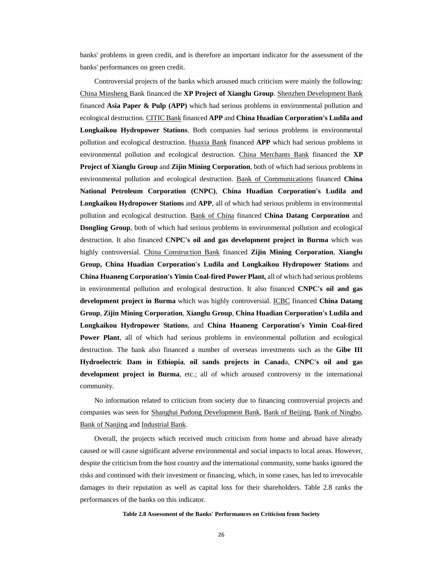banks' problems in green credit, and is therefore an important indicator for the assessment of the banks' performances on green credit.

Controversial projects of the banks which aroused much criticism were mainly the following: China Minsheng Bank financed the **XP Project of Xianglu Group**. Shenzhen Development Bank financed **Asia Paper & Pulp (APP)** which had serious problems in environmental pollution and ecological destruction. CITIC Bank financed **APP** and **China Huadian Corporation's Ludila and Longkaikou Hydropower Stations**. Both companies had serious problems in environmental pollution and ecological destruction. Huaxia Bank financed **APP** which had serious problems in environmental pollution and ecological destruction. China Merchants Bank financed the **XP Project of Xianglu Group** and **Zijin Mining Corporation**, both of which had serious problems in environmental pollution and ecological destruction. Bank of Communications financed **China National Petroleum Corporation (CNPC)**, **China Huadian Corporation's Ludila and Longkaikou Hydropower Stations** and **APP**, all of which had serious problems in environmental pollution and ecological destruction. Bank of China financed **China Datang Corporation** and **Dongling Group**, both of which had serious problems in environmental pollution and ecological destruction. It also financed **CNPC's oil and gas development project in Burma** which was highly controversial. China Construction Bank financed **Zijin Mining Corporation**, **Xianglu Group, China Huadian Corporation's Ludila and Longkaikou Hydropower Stations** and **China Huaneng Corporation's Yimin Coal-fired Power Plant,** all of which had serious problems in environmental pollution and ecological destruction. It also financed **CNPC's oil and gas development project in Burma** which was highly controversial. ICBC financed **China Datang Group**, **Zijin Mining Corporation**, **Xianglu Group**, **China Huadian Corporation's Ludila and Longkaikou Hydropower Stations**, and **China Huaneng Corporation's Yimin Coal-fired Power Plant**, all of which had serious problems in environmental pollution and ecological destruction. The bank also financed a number of overseas investments such as the **Gibe III Hydroelectric Dam in Ethiopia**, **oil sands projects in Canad**a, **CNPC's oil and gas development project in Burma**, etc.; all of which aroused controversy in the international community.

No information related to criticism from society due to financing controversial projects and companies was seen for Shanghai Pudong Development Bank, Bank of Beijing, Bank of Ningbo, Bank of Nanjing and Industrial Bank.

Overall, the projects which received much criticism from home and abroad have already caused or will cause significant adverse environmental and social impacts to local areas. However, despite the criticism from the host country and the international community, some banks ignored the risks and continued with their investment or financing, which, in some cases, has led to irrevocable damages to their reputation as well as capital loss for their shareholders. Table 2.8 ranks the performances of the banks on this indicator.

#### **Table 2.8 Assessment of the Banks' Performances on Criticism from Society**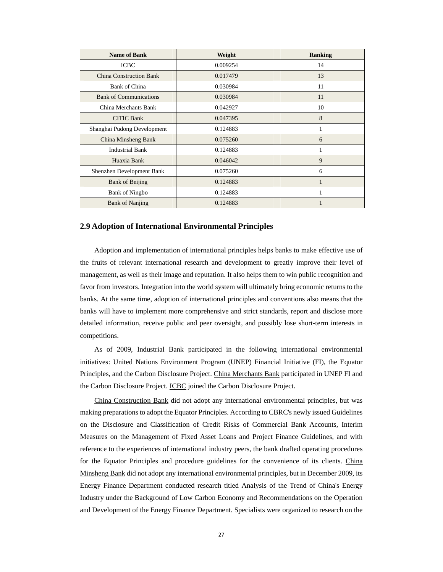| <b>Name of Bank</b>            | Weight   | <b>Ranking</b> |
|--------------------------------|----------|----------------|
| <b>ICBC</b>                    | 0.009254 | 14             |
| <b>China Construction Bank</b> | 0.017479 | 13             |
| <b>Bank of China</b>           | 0.030984 | 11             |
| <b>Bank of Communications</b>  | 0.030984 | 11             |
| China Merchants Bank           | 0.042927 | 10             |
| <b>CITIC Bank</b>              | 0.047395 | 8              |
| Shanghai Pudong Development    | 0.124883 | 1              |
| China Minsheng Bank            | 0.075260 | 6              |
| <b>Industrial Bank</b>         | 0.124883 | 1              |
| Huaxia Bank                    | 0.046042 | 9              |
| Shenzhen Development Bank      | 0.075260 | 6              |
| <b>Bank of Beijing</b>         | 0.124883 | 1              |
| <b>Bank of Ningbo</b>          | 0.124883 | 1              |
| <b>Bank of Nanjing</b>         | 0.124883 |                |

#### **2.9 Adoption of International Environmental Principles**

Adoption and implementation of international principles helps banks to make effective use of the fruits of relevant international research and development to greatly improve their level of management, as well as their image and reputation. It also helps them to win public recognition and favor from investors. Integration into the world system will ultimately bring economic returns to the banks. At the same time, adoption of international principles and conventions also means that the banks will have to implement more comprehensive and strict standards, report and disclose more detailed information, receive public and peer oversight, and possibly lose short-term interests in competitions.

As of 2009, Industrial Bank participated in the following international environmental initiatives: United Nations Environment Program (UNEP) Financial Initiative (FI), the Equator Principles, and the Carbon Disclosure Project. China Merchants Bank participated in UNEP FI and the Carbon Disclosure Project. ICBC joined the Carbon Disclosure Project.

China Construction Bank did not adopt any international environmental principles, but was making preparations to adopt the Equator Principles. According to CBRC's newly issued Guidelines on the Disclosure and Classification of Credit Risks of Commercial Bank Accounts, Interim Measures on the Management of Fixed Asset Loans and Project Finance Guidelines, and with reference to the experiences of international industry peers, the bank drafted operating procedures for the Equator Principles and procedure guidelines for the convenience of its clients. China Minsheng Bank did not adopt any international environmental principles, but in December 2009, its Energy Finance Department conducted research titled Analysis of the Trend of China's Energy Industry under the Background of Low Carbon Economy and Recommendations on the Operation and Development of the Energy Finance Department. Specialists were organized to research on the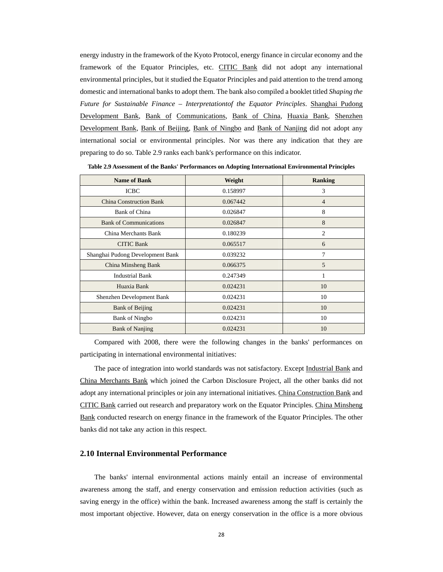energy industry in the framework of the Kyoto Protocol, energy finance in circular economy and the framework of the Equator Principles, etc. CITIC Bank did not adopt any international environmental principles, but it studied the Equator Principles and paid attention to the trend among domestic and international banks to adopt them. The bank also compiled a booklet titled *Shaping the Future for Sustainable Finance – Interpretationtof the Equator Principles*. Shanghai Pudong Development Bank, Bank of Communications, Bank of China, Huaxia Bank, Shenzhen Development Bank, Bank of Beijing, Bank of Ningbo and Bank of Nanjing did not adopt any international social or environmental principles. Nor was there any indication that they are preparing to do so. Table 2.9 ranks each bank's performance on this indicator.

| <b>Name of Bank</b>              | Weight   | <b>Ranking</b> |
|----------------------------------|----------|----------------|
| <b>ICBC</b>                      | 0.158997 | 3              |
| <b>China Construction Bank</b>   | 0.067442 | $\overline{4}$ |
| Bank of China                    | 0.026847 | 8              |
| <b>Bank of Communications</b>    | 0.026847 | 8              |
| China Merchants Bank             | 0.180239 | 2              |
| <b>CITIC Bank</b>                | 0.065517 | 6              |
| Shanghai Pudong Development Bank | 0.039232 | 7              |
| China Minsheng Bank              | 0.066375 | 5              |
| <b>Industrial Bank</b>           | 0.247349 | 1              |
| Huaxia Bank                      | 0.024231 | 10             |
| Shenzhen Development Bank        | 0.024231 | 10             |
| <b>Bank of Beijing</b>           | 0.024231 | 10             |
| <b>Bank of Ningbo</b>            | 0.024231 | 10             |
| <b>Bank of Nanjing</b>           | 0.024231 | 10             |

**Table 2.9 Assessment of the Banks' Performances on Adopting International Environmental Principles** 

Compared with 2008, there were the following changes in the banks' performances on participating in international environmental initiatives:

The pace of integration into world standards was not satisfactory. Except Industrial Bank and China Merchants Bank which joined the Carbon Disclosure Project, all the other banks did not adopt any international principles or join any international initiatives. China Construction Bank and CITIC Bank carried out research and preparatory work on the Equator Principles. China Minsheng Bank conducted research on energy finance in the framework of the Equator Principles. The other banks did not take any action in this respect.

#### **2.10 Internal Environmental Performance**

The banks' internal environmental actions mainly entail an increase of environmental awareness among the staff, and energy conservation and emission reduction activities (such as saving energy in the office) within the bank. Increased awareness among the staff is certainly the most important objective. However, data on energy conservation in the office is a more obvious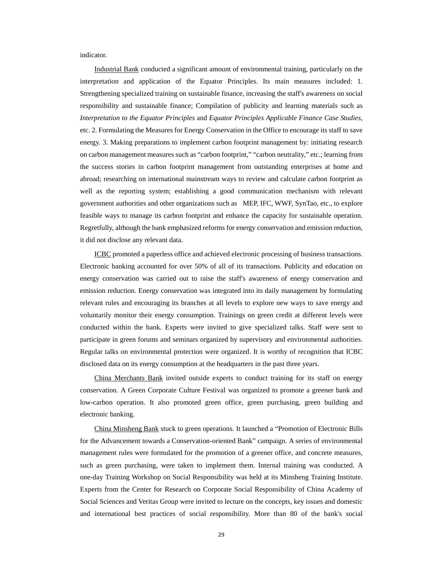indicator.

Industrial Bank conducted a significant amount of environmental training, particularly on the interpretation and application of the Equator Principles. Its main measures included: 1. Strengthening specialized training on sustainable finance, increasing the staff's awareness on social responsibility and sustainable finance; Compilation of publicity and learning materials such as *Interpretation to the Equator Principles* and *Equator Principles Applicable Finance Case Studies*, etc. 2. Formulating the Measures for Energy Conservation in the Office to encourage its staff to save energy. 3. Making preparations to implement carbon footprint management by: initiating research on carbon management measures such as "carbon footprint," "carbon neutrality," etc.; learning from the success stories in carbon footprint management from outstanding enterprises at home and abroad; researching on international mainstream ways to review and calculate carbon footprint as well as the reporting system; establishing a good communication mechanism with relevant government authorities and other organizations such as MEP, IFC, WWF, SynTao, etc., to explore feasible ways to manage its carbon footprint and enhance the capacity for sustainable operation. Regretfully, although the bank emphasized reforms for energy conservation and emission reduction, it did not disclose any relevant data.

ICBC promoted a paperless office and achieved electronic processing of business transactions. Electronic banking accounted for over 50% of all of its transactions. Publicity and education on energy conservation was carried out to raise the staff's awareness of energy conservation and emission reduction. Energy conservation was integrated into its daily management by formulating relevant rules and encouraging its branches at all levels to explore new ways to save energy and voluntarily monitor their energy consumption. Trainings on green credit at different levels were conducted within the bank. Experts were invited to give specialized talks. Staff were sent to participate in green forums and seminars organized by supervisory and environmental authorities. Regular talks on environmental protection were organized. It is worthy of recognition that ICBC disclosed data on its energy consumption at the headquarters in the past three years.

China Merchants Bank invited outside experts to conduct training for its staff on energy conservation. A Green Corporate Culture Festival was organized to promote a greener bank and low-carbon operation. It also promoted green office, green purchasing, green building and electronic banking.

China Minsheng Bank stuck to green operations. It launched a "Promotion of Electronic Bills for the Advancement towards a Conservation-oriented Bank" campaign. A series of environmental management rules were formulated for the promotion of a greener office, and concrete measures, such as green purchasing, were taken to implement them. Internal training was conducted. A one-day Training Workshop on Social Responsibility was held at its Minsheng Training Institute. Experts from the Center for Research on Corporate Social Responsibility of China Academy of Social Sciences and Veritas Group were invited to lecture on the concepts, key issues and domestic and international best practices of social responsibility. More than 80 of the bank's social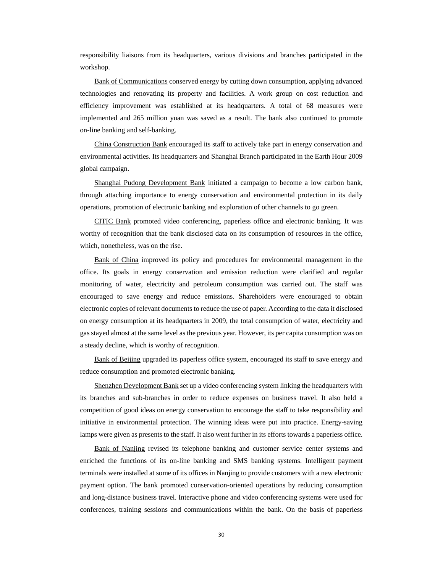responsibility liaisons from its headquarters, various divisions and branches participated in the workshop.

Bank of Communications conserved energy by cutting down consumption, applying advanced technologies and renovating its property and facilities. A work group on cost reduction and efficiency improvement was established at its headquarters. A total of 68 measures were implemented and 265 million yuan was saved as a result. The bank also continued to promote on-line banking and self-banking.

China Construction Bank encouraged its staff to actively take part in energy conservation and environmental activities. Its headquarters and Shanghai Branch participated in the Earth Hour 2009 global campaign.

Shanghai Pudong Development Bank initiated a campaign to become a low carbon bank, through attaching importance to energy conservation and environmental protection in its daily operations, promotion of electronic banking and exploration of other channels to go green.

CITIC Bank promoted video conferencing, paperless office and electronic banking. It was worthy of recognition that the bank disclosed data on its consumption of resources in the office, which, nonetheless, was on the rise.

Bank of China improved its policy and procedures for environmental management in the office. Its goals in energy conservation and emission reduction were clarified and regular monitoring of water, electricity and petroleum consumption was carried out. The staff was encouraged to save energy and reduce emissions. Shareholders were encouraged to obtain electronic copies of relevant documents to reduce the use of paper. According to the data it disclosed on energy consumption at its headquarters in 2009, the total consumption of water, electricity and gas stayed almost at the same level as the previous year. However, its per capita consumption was on a steady decline, which is worthy of recognition.

Bank of Beijing upgraded its paperless office system, encouraged its staff to save energy and reduce consumption and promoted electronic banking.

Shenzhen Development Bank set up a video conferencing system linking the headquarters with its branches and sub-branches in order to reduce expenses on business travel. It also held a competition of good ideas on energy conservation to encourage the staff to take responsibility and initiative in environmental protection. The winning ideas were put into practice. Energy-saving lamps were given as presents to the staff. It also went further in its efforts towards a paperless office.

Bank of Nanjing revised its telephone banking and customer service center systems and enriched the functions of its on-line banking and SMS banking systems. Intelligent payment terminals were installed at some of its offices in Nanjing to provide customers with a new electronic payment option. The bank promoted conservation-oriented operations by reducing consumption and long-distance business travel. Interactive phone and video conferencing systems were used for conferences, training sessions and communications within the bank. On the basis of paperless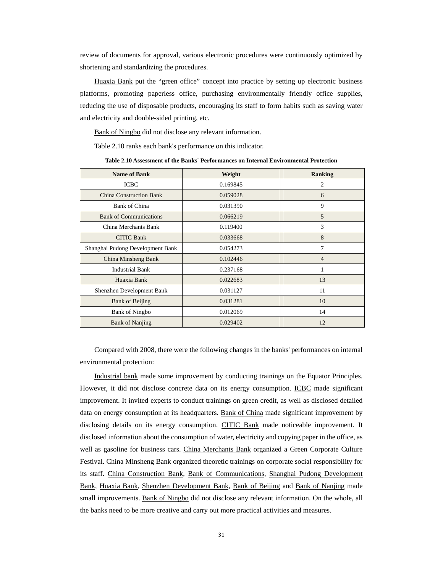review of documents for approval, various electronic procedures were continuously optimized by shortening and standardizing the procedures.

Huaxia Bank put the "green office" concept into practice by setting up electronic business platforms, promoting paperless office, purchasing environmentally friendly office supplies, reducing the use of disposable products, encouraging its staff to form habits such as saving water and electricity and double-sided printing, etc.

Bank of Ningbo did not disclose any relevant information.

Table 2.10 ranks each bank's performance on this indicator.

**Table 2.10 Assessment of the Banks' Performances on Internal Environmental Protection** 

| <b>Name of Bank</b>              | Weight   | <b>Ranking</b> |
|----------------------------------|----------|----------------|
| <b>ICBC</b>                      | 0.169845 | 2              |
| <b>China Construction Bank</b>   | 0.059028 | 6              |
| Bank of China                    | 0.031390 | 9              |
| <b>Bank of Communications</b>    | 0.066219 | 5              |
| China Merchants Bank             | 0.119400 | 3              |
| <b>CITIC Bank</b>                | 0.033668 | 8              |
| Shanghai Pudong Development Bank | 0.054273 | 7              |
| China Minsheng Bank              | 0.102446 | $\overline{4}$ |
| <b>Industrial Bank</b>           | 0.237168 |                |
| Huaxia Bank                      | 0.022683 | 13             |
| Shenzhen Development Bank        | 0.031127 | 11             |
| <b>Bank of Beijing</b>           | 0.031281 | 10             |
| <b>Bank of Ningbo</b>            | 0.012069 | 14             |
| <b>Bank of Nanjing</b>           | 0.029402 | 12             |

Compared with 2008, there were the following changes in the banks' performances on internal environmental protection:

Industrial bank made some improvement by conducting trainings on the Equator Principles. However, it did not disclose concrete data on its energy consumption. ICBC made significant improvement. It invited experts to conduct trainings on green credit, as well as disclosed detailed data on energy consumption at its headquarters. Bank of China made significant improvement by disclosing details on its energy consumption. CITIC Bank made noticeable improvement. It disclosed information about the consumption of water, electricity and copying paper in the office, as well as gasoline for business cars. China Merchants Bank organized a Green Corporate Culture Festival. China Minsheng Bank organized theoretic trainings on corporate social responsibility for its staff. China Construction Bank, Bank of Communications, Shanghai Pudong Development Bank, Huaxia Bank, Shenzhen Development Bank, Bank of Beijing and Bank of Nanjing made small improvements. Bank of Ningbo did not disclose any relevant information. On the whole, all the banks need to be more creative and carry out more practical activities and measures.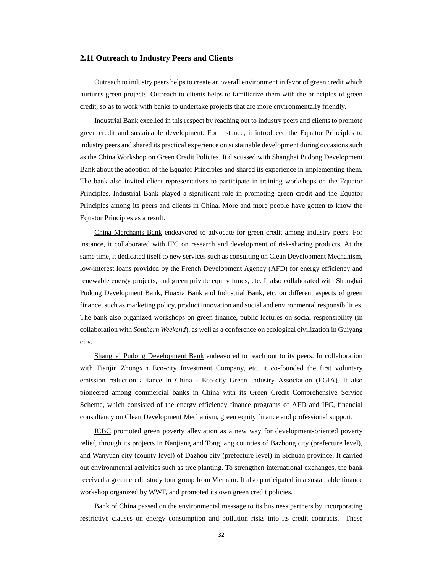#### **2.11 Outreach to Industry Peers and Clients**

Outreach to industry peers helps to create an overall environment in favor of green credit which nurtures green projects. Outreach to clients helps to familiarize them with the principles of green credit, so as to work with banks to undertake projects that are more environmentally friendly.

Industrial Bank excelled in this respect by reaching out to industry peers and clients to promote green credit and sustainable development. For instance, it introduced the Equator Principles to industry peers and shared its practical experience on sustainable development during occasions such as the China Workshop on Green Credit Policies. It discussed with Shanghai Pudong Development Bank about the adoption of the Equator Principles and shared its experience in implementing them. The bank also invited client representatives to participate in training workshops on the Equator Principles. Industrial Bank played a significant role in promoting green credit and the Equator Principles among its peers and clients in China. More and more people have gotten to know the Equator Principles as a result.

China Merchants Bank endeavored to advocate for green credit among industry peers. For instance, it collaborated with IFC on research and development of risk-sharing products. At the same time, it dedicated itself to new services such as consulting on Clean Development Mechanism, low-interest loans provided by the French Development Agency (AFD) for energy efficiency and renewable energy projects, and green private equity funds, etc. It also collaborated with Shanghai Pudong Development Bank, Huaxia Bank and Industrial Bank, etc. on different aspects of green finance, such as marketing policy, product innovation and social and environmental responsibilities. The bank also organized workshops on green finance, public lectures on social responsibility (in collaboration with *Southern Weekend*), as well as a conference on ecological civilization in Guiyang city.

Shanghai Pudong Development Bank endeavored to reach out to its peers. In collaboration with Tianjin Zhongxin Eco-city Investment Company, etc. it co-founded the first voluntary emission reduction alliance in China - Eco-city Green Industry Association (EGIA). It also pioneered among commercial banks in China with its Green Credit Comprehensive Service Scheme, which consisted of the energy efficiency finance programs of AFD and IFC, financial consultancy on Clean Development Mechanism, green equity finance and professional support.

ICBC promoted green poverty alleviation as a new way for development-oriented poverty relief, through its projects in Nanjiang and Tongjiang counties of Bazhong city (prefecture level), and Wanyuan city (county level) of Dazhou city (prefecture level) in Sichuan province. It carried out environmental activities such as tree planting. To strengthen international exchanges, the bank received a green credit study tour group from Vietnam. It also participated in a sustainable finance workshop organized by WWF, and promoted its own green credit policies.

Bank of China passed on the environmental message to its business partners by incorporating restrictive clauses on energy consumption and pollution risks into its credit contracts. These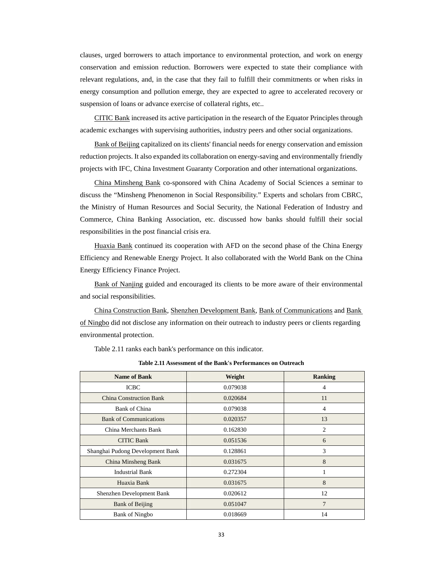clauses, urged borrowers to attach importance to environmental protection, and work on energy conservation and emission reduction. Borrowers were expected to state their compliance with relevant regulations, and, in the case that they fail to fulfill their commitments or when risks in energy consumption and pollution emerge, they are expected to agree to accelerated recovery or suspension of loans or advance exercise of collateral rights, etc..

CITIC Bank increased its active participation in the research of the Equator Principles through academic exchanges with supervising authorities, industry peers and other social organizations.

Bank of Beijing capitalized on its clients' financial needs for energy conservation and emission reduction projects. It also expanded its collaboration on energy-saving and environmentally friendly projects with IFC, China Investment Guaranty Corporation and other international organizations.

China Minsheng Bank co-sponsored with China Academy of Social Sciences a seminar to discuss the "Minsheng Phenomenon in Social Responsibility." Experts and scholars from CBRC, the Ministry of Human Resources and Social Security, the National Federation of Industry and Commerce, China Banking Association, etc. discussed how banks should fulfill their social responsibilities in the post financial crisis era.

Huaxia Bank continued its cooperation with AFD on the second phase of the China Energy Efficiency and Renewable Energy Project. It also collaborated with the World Bank on the China Energy Efficiency Finance Project.

Bank of Nanjing guided and encouraged its clients to be more aware of their environmental and social responsibilities.

China Construction Bank, Shenzhen Development Bank, Bank of Communications and Bank of Ningbo did not disclose any information on their outreach to industry peers or clients regarding environmental protection.

Table 2.11 ranks each bank's performance on this indicator.

| <b>Name of Bank</b>              | Weight   | <b>Ranking</b> |
|----------------------------------|----------|----------------|
| <b>ICBC</b>                      | 0.079038 | 4              |
| <b>China Construction Bank</b>   | 0.020684 | 11             |
| Bank of China                    | 0.079038 | 4              |
| <b>Bank of Communications</b>    | 0.020357 | 13             |
| China Merchants Bank             | 0.162830 | 2              |
| <b>CITIC Bank</b>                | 0.051536 | 6              |
| Shanghai Pudong Development Bank | 0.128861 | 3              |
| China Minsheng Bank              | 0.031675 | 8              |
| <b>Industrial Bank</b>           | 0.272304 |                |
| Huaxia Bank                      | 0.031675 | 8              |
| Shenzhen Development Bank        | 0.020612 | 12             |
| <b>Bank of Beijing</b>           | 0.051047 | 7              |
| <b>Bank of Ningbo</b>            | 0.018669 | 14             |

**Table 2.11 Assessment of the Bank's Performances on Outreach**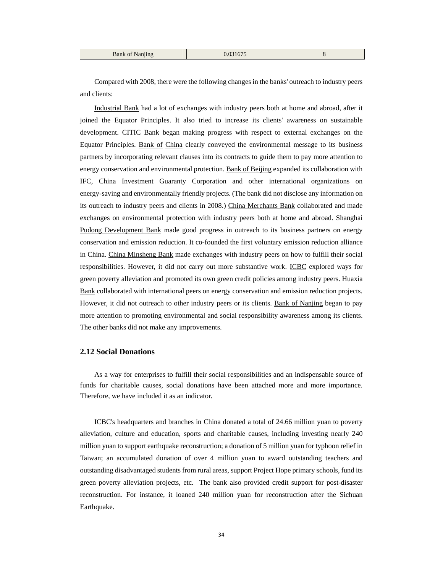| <b>Bank of Nanjing</b> | 0.031675 |  |
|------------------------|----------|--|
|------------------------|----------|--|

Compared with 2008, there were the following changes in the banks' outreach to industry peers and clients:

Industrial Bank had a lot of exchanges with industry peers both at home and abroad, after it joined the Equator Principles. It also tried to increase its clients' awareness on sustainable development. CITIC Bank began making progress with respect to external exchanges on the Equator Principles. Bank of China clearly conveyed the environmental message to its business partners by incorporating relevant clauses into its contracts to guide them to pay more attention to energy conservation and environmental protection. Bank of Beijing expanded its collaboration with IFC, China Investment Guaranty Corporation and other international organizations on energy-saving and environmentally friendly projects. (The bank did not disclose any information on its outreach to industry peers and clients in 2008.) China Merchants Bank collaborated and made exchanges on environmental protection with industry peers both at home and abroad. Shanghai Pudong Development Bank made good progress in outreach to its business partners on energy conservation and emission reduction. It co-founded the first voluntary emission reduction alliance in China. China Minsheng Bank made exchanges with industry peers on how to fulfill their social responsibilities. However, it did not carry out more substantive work. ICBC explored ways for green poverty alleviation and promoted its own green credit policies among industry peers. Huaxia Bank collaborated with international peers on energy conservation and emission reduction projects. However, it did not outreach to other industry peers or its clients. Bank of Nanjing began to pay more attention to promoting environmental and social responsibility awareness among its clients. The other banks did not make any improvements.

#### **2.12 Social Donations**

As a way for enterprises to fulfill their social responsibilities and an indispensable source of funds for charitable causes, social donations have been attached more and more importance. Therefore, we have included it as an indicator.

ICBC's headquarters and branches in China donated a total of 24.66 million yuan to poverty alleviation, culture and education, sports and charitable causes, including investing nearly 240 million yuan to support earthquake reconstruction; a donation of 5 million yuan for typhoon relief in Taiwan; an accumulated donation of over 4 million yuan to award outstanding teachers and outstanding disadvantaged students from rural areas, support Project Hope primary schools, fund its green poverty alleviation projects, etc. The bank also provided credit support for post-disaster reconstruction. For instance, it loaned 240 million yuan for reconstruction after the Sichuan Earthquake.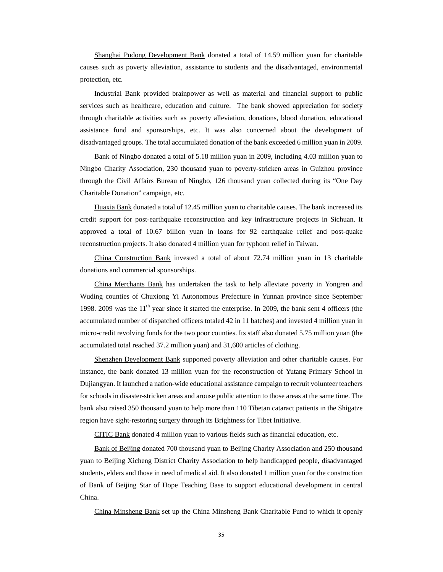Shanghai Pudong Development Bank donated a total of 14.59 million yuan for charitable causes such as poverty alleviation, assistance to students and the disadvantaged, environmental protection, etc.

Industrial Bank provided brainpower as well as material and financial support to public services such as healthcare, education and culture. The bank showed appreciation for society through charitable activities such as poverty alleviation, donations, blood donation, educational assistance fund and sponsorships, etc. It was also concerned about the development of disadvantaged groups. The total accumulated donation of the bank exceeded 6 million yuan in 2009.

Bank of Ningbo donated a total of 5.18 million yuan in 2009, including 4.03 million yuan to Ningbo Charity Association, 230 thousand yuan to poverty-stricken areas in Guizhou province through the Civil Affairs Bureau of Ningbo, 126 thousand yuan collected during its "One Day Charitable Donation" campaign, etc.

Huaxia Bank donated a total of 12.45 million yuan to charitable causes. The bank increased its credit support for post-earthquake reconstruction and key infrastructure projects in Sichuan. It approved a total of 10.67 billion yuan in loans for 92 earthquake relief and post-quake reconstruction projects. It also donated 4 million yuan for typhoon relief in Taiwan.

China Construction Bank invested a total of about 72.74 million yuan in 13 charitable donations and commercial sponsorships.

China Merchants Bank has undertaken the task to help alleviate poverty in Yongren and Wuding counties of Chuxiong Yi Autonomous Prefecture in Yunnan province since September 1998. 2009 was the  $11<sup>th</sup>$  year since it started the enterprise. In 2009, the bank sent 4 officers (the accumulated number of dispatched officers totaled 42 in 11 batches) and invested 4 million yuan in micro-credit revolving funds for the two poor counties. Its staff also donated 5.75 million yuan (the accumulated total reached 37.2 million yuan) and 31,600 articles of clothing.

**Shenzhen Development Bank** supported poverty alleviation and other charitable causes. For instance, the bank donated 13 million yuan for the reconstruction of Yutang Primary School in Dujiangyan. It launched a nation-wide educational assistance campaign to recruit volunteer teachers for schools in disaster-stricken areas and arouse public attention to those areas at the same time. The bank also raised 350 thousand yuan to help more than 110 Tibetan cataract patients in the Shigatze region have sight-restoring surgery through its Brightness for Tibet Initiative.

CITIC Bank donated 4 million yuan to various fields such as financial education, etc.

Bank of Beijing donated 700 thousand yuan to Beijing Charity Association and 250 thousand yuan to Beijing Xicheng District Charity Association to help handicapped people, disadvantaged students, elders and those in need of medical aid. It also donated 1 million yuan for the construction of Bank of Beijing Star of Hope Teaching Base to support educational development in central China.

China Minsheng Bank set up the China Minsheng Bank Charitable Fund to which it openly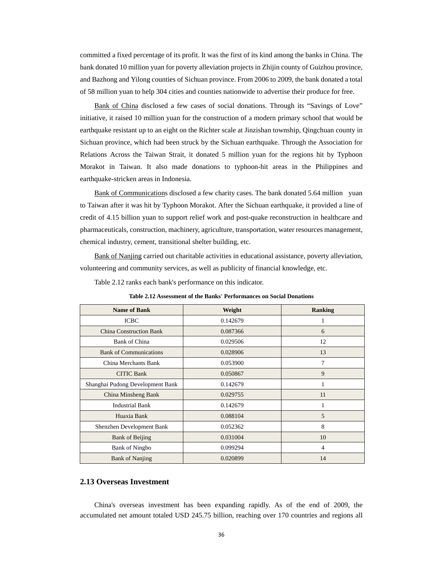committed a fixed percentage of its profit. It was the first of its kind among the banks in China. The bank donated 10 million yuan for poverty alleviation projects in Zhijin county of Guizhou province, and Bazhong and Yilong counties of Sichuan province. From 2006 to 2009, the bank donated a total of 58 million yuan to help 304 cities and counties nationwide to advertise their produce for free.

Bank of China disclosed a few cases of social donations. Through its "Savings of Love" initiative, it raised 10 million yuan for the construction of a modern primary school that would be earthquake resistant up to an eight on the Richter scale at Jinzishan township, Qingchuan county in Sichuan province, which had been struck by the Sichuan earthquake. Through the Association for Relations Across the Taiwan Strait, it donated 5 million yuan for the regions hit by Typhoon Morakot in Taiwan. It also made donations to typhoon-hit areas in the Philippines and earthquake-stricken areas in Indonesia.

Bank of Communications disclosed a few charity cases. The bank donated 5.64 million yuan to Taiwan after it was hit by Typhoon Morakot. After the Sichuan earthquake, it provided a line of credit of 4.15 billion yuan to support relief work and post-quake reconstruction in healthcare and pharmaceuticals, construction, machinery, agriculture, transportation, water resources management, chemical industry, cement, transitional shelter building, etc.

Bank of Nanjing carried out charitable activities in educational assistance, poverty alleviation, volunteering and community services, as well as publicity of financial knowledge, etc.

Table 2.12 ranks each bank's performance on this indicator.

| <b>Name of Bank</b>              | Weight   | <b>Ranking</b> |
|----------------------------------|----------|----------------|
| <b>ICBC</b>                      | 0.142679 | 1              |
| <b>China Construction Bank</b>   | 0.087366 | 6              |
| Bank of China                    | 0.029506 | 12             |
| <b>Bank of Communications</b>    | 0.028906 | 13             |
| China Merchants Bank             | 0.053900 | 7              |
| <b>CITIC Bank</b>                | 0.050867 | 9              |
| Shanghai Pudong Development Bank | 0.142679 | 1              |
| China Minsheng Bank              | 0.029755 | 11             |
| <b>Industrial Bank</b>           | 0.142679 | 1              |
| Huaxia Bank                      | 0.088104 | 5              |
| Shenzhen Development Bank        | 0.052362 | 8              |
| <b>Bank of Beijing</b>           | 0.031004 | 10             |
| <b>Bank of Ningbo</b>            | 0.099294 | 4              |
| <b>Bank of Nanjing</b>           | 0.020899 | 14             |

**Table 2.12 Assessment of the Banks' Performances on Social Donations** 

#### **2.13 Overseas Investment**

China's overseas investment has been expanding rapidly. As of the end of 2009, the accumulated net amount totaled USD 245.75 billion, reaching over 170 countries and regions all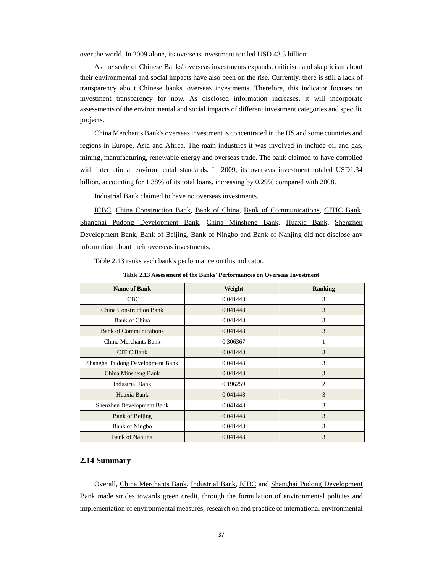over the world. In 2009 alone, its overseas investment totaled USD 43.3 billion.

As the scale of Chinese Banks' overseas investments expands, criticism and skepticism about their environmental and social impacts have also been on the rise. Currently, there is still a lack of transparency about Chinese banks' overseas investments. Therefore, this indicator focuses on investment transparency for now. As disclosed information increases, it will incorporate assessments of the environmental and social impacts of different investment categories and specific projects.

China Merchants Bank's overseas investment is concentrated in the US and some countries and regions in Europe, Asia and Africa. The main industries it was involved in include oil and gas, mining, manufacturing, renewable energy and overseas trade. The bank claimed to have complied with international environmental standards. In 2009, its overseas investment totaled USD1.34 billion, accounting for 1.38% of its total loans, increasing by 0.29% compared with 2008.

Industrial Bank claimed to have no overseas investments.

ICBC, China Construction Bank, Bank of China, Bank of Communications, CITIC Bank, Shanghai Pudong Development Bank, China Minsheng Bank, Huaxia Bank, Shenzhen Development Bank, Bank of Beijing, Bank of Ningbo and Bank of Nanjing did not disclose any information about their overseas investments.

Table 2.13 ranks each bank's performance on this indicator.

**Table 2.13 Assessment of the Banks' Performances on Overseas Investment** 

| <b>Name of Bank</b>              | Weight   | <b>Ranking</b> |
|----------------------------------|----------|----------------|
| <b>ICBC</b>                      | 0.041448 | 3              |
| <b>China Construction Bank</b>   | 0.041448 | 3              |
| Bank of China                    | 0.041448 | 3              |
| <b>Bank of Communications</b>    | 0.041448 | 3              |
| China Merchants Bank             | 0.306367 |                |
| <b>CITIC Bank</b>                | 0.041448 | 3              |
| Shanghai Pudong Development Bank | 0.041448 | 3              |
| China Minsheng Bank              | 0.041448 | 3              |
| <b>Industrial Bank</b>           | 0.196259 | $\overline{c}$ |
| Huaxia Bank                      | 0.041448 | 3              |
| Shenzhen Development Bank        | 0.041448 | 3              |
| <b>Bank of Beijing</b>           | 0.041448 | $\mathcal{F}$  |
| <b>Bank of Ningbo</b>            | 0.041448 | 3              |
| <b>Bank of Nanjing</b>           | 0.041448 | 3              |

#### **2.14 Summary**

Overall, China Merchants Bank, Industrial Bank, ICBC and Shanghai Pudong Development Bank made strides towards green credit, through the formulation of environmental policies and implementation of environmental measures, research on and practice of international environmental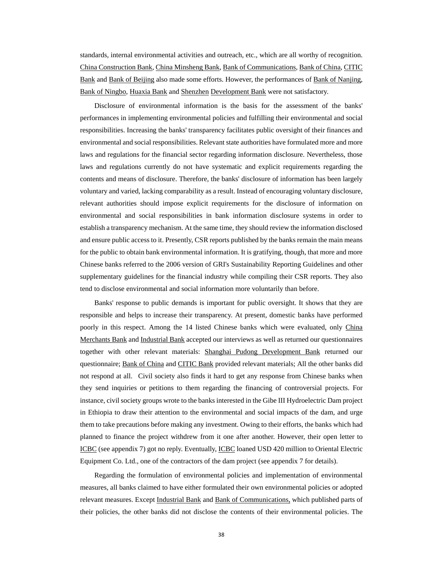standards, internal environmental activities and outreach, etc., which are all worthy of recognition. China Construction Bank, China Minsheng Bank, Bank of Communications, Bank of China, CITIC Bank and Bank of Beijing also made some efforts. However, the performances of Bank of Nanjing, Bank of Ningbo, Huaxia Bank and Shenzhen Development Bank were not satisfactory.

Disclosure of environmental information is the basis for the assessment of the banks' performances in implementing environmental policies and fulfilling their environmental and social responsibilities. Increasing the banks' transparency facilitates public oversight of their finances and environmental and social responsibilities. Relevant state authorities have formulated more and more laws and regulations for the financial sector regarding information disclosure. Nevertheless, those laws and regulations currently do not have systematic and explicit requirements regarding the contents and means of disclosure. Therefore, the banks' disclosure of information has been largely voluntary and varied, lacking comparability as a result. Instead of encouraging voluntary disclosure, relevant authorities should impose explicit requirements for the disclosure of information on environmental and social responsibilities in bank information disclosure systems in order to establish a transparency mechanism. At the same time, they should review the information disclosed and ensure public access to it. Presently, CSR reports published by the banks remain the main means for the public to obtain bank environmental information. It is gratifying, though, that more and more Chinese banks referred to the 2006 version of GRI's Sustainability Reporting Guidelines and other supplementary guidelines for the financial industry while compiling their CSR reports. They also tend to disclose environmental and social information more voluntarily than before.

Banks' response to public demands is important for public oversight. It shows that they are responsible and helps to increase their transparency. At present, domestic banks have performed poorly in this respect. Among the 14 listed Chinese banks which were evaluated, only China Merchants Bank and Industrial Bank accepted our interviews as well as returned our questionnaires together with other relevant materials: Shanghai Pudong Development Bank returned our questionnaire; Bank of China and CITIC Bank provided relevant materials; All the other banks did not respond at all. Civil society also finds it hard to get any response from Chinese banks when they send inquiries or petitions to them regarding the financing of controversial projects. For instance, civil society groups wrote to the banks interested in the Gibe III Hydroelectric Dam project in Ethiopia to draw their attention to the environmental and social impacts of the dam, and urge them to take precautions before making any investment. Owing to their efforts, the banks which had planned to finance the project withdrew from it one after another. However, their open letter to ICBC (see appendix 7) got no reply. Eventually, ICBC loaned USD 420 million to Oriental Electric Equipment Co. Ltd., one of the contractors of the dam project (see appendix 7 for details).

Regarding the formulation of environmental policies and implementation of environmental measures, all banks claimed to have either formulated their own environmental policies or adopted relevant measures. Except Industrial Bank and Bank of Communications, which published parts of their policies, the other banks did not disclose the contents of their environmental policies. The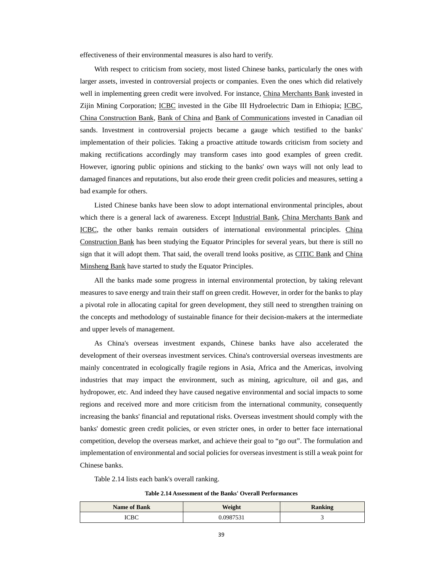effectiveness of their environmental measures is also hard to verify.

With respect to criticism from society, most listed Chinese banks, particularly the ones with larger assets, invested in controversial projects or companies. Even the ones which did relatively well in implementing green credit were involved. For instance, China Merchants Bank invested in Zijin Mining Corporation; ICBC invested in the Gibe III Hydroelectric Dam in Ethiopia; ICBC, China Construction Bank, Bank of China and Bank of Communications invested in Canadian oil sands. Investment in controversial projects became a gauge which testified to the banks' implementation of their policies. Taking a proactive attitude towards criticism from society and making rectifications accordingly may transform cases into good examples of green credit. However, ignoring public opinions and sticking to the banks' own ways will not only lead to damaged finances and reputations, but also erode their green credit policies and measures, setting a bad example for others.

Listed Chinese banks have been slow to adopt international environmental principles, about which there is a general lack of awareness. Except Industrial Bank, China Merchants Bank and ICBC, the other banks remain outsiders of international environmental principles. China Construction Bank has been studying the Equator Principles for several years, but there is still no sign that it will adopt them. That said, the overall trend looks positive, as CITIC Bank and China Minsheng Bank have started to study the Equator Principles.

All the banks made some progress in internal environmental protection, by taking relevant measures to save energy and train their staff on green credit. However, in order for the banks to play a pivotal role in allocating capital for green development, they still need to strengthen training on the concepts and methodology of sustainable finance for their decision-makers at the intermediate and upper levels of management.

As China's overseas investment expands, Chinese banks have also accelerated the development of their overseas investment services. China's controversial overseas investments are mainly concentrated in ecologically fragile regions in Asia, Africa and the Americas, involving industries that may impact the environment, such as mining, agriculture, oil and gas, and hydropower, etc. And indeed they have caused negative environmental and social impacts to some regions and received more and more criticism from the international community, consequently increasing the banks' financial and reputational risks. Overseas investment should comply with the banks' domestic green credit policies, or even stricter ones, in order to better face international competition, develop the overseas market, and achieve their goal to "go out". The formulation and implementation of environmental and social policies for overseas investment is still a weak point for Chinese banks.

Table 2.14 lists each bank's overall ranking.

**Table 2.14 Assessment of the Banks' Overall Performances** 

| <b>Name of Bank</b> | Weight                  | <b>Ranking</b> |
|---------------------|-------------------------|----------------|
| CDC                 | $0.098753$ <sup>+</sup> |                |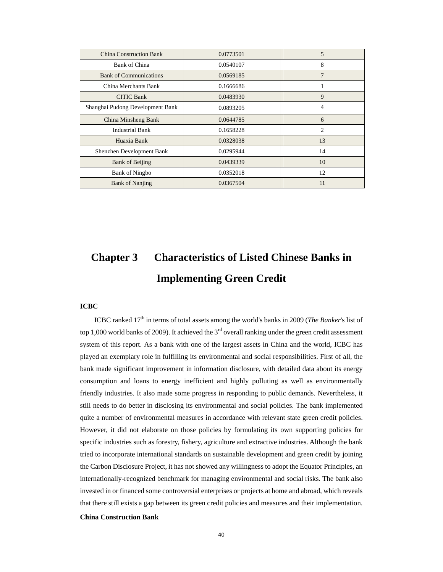| <b>China Construction Bank</b>   | 0.0773501 | 5  |
|----------------------------------|-----------|----|
| Bank of China                    | 0.0540107 | 8  |
| <b>Bank of Communications</b>    | 0.0569185 | 7  |
| China Merchants Bank             | 0.1666686 |    |
| <b>CITIC Bank</b>                | 0.0483930 | 9  |
| Shanghai Pudong Development Bank | 0.0893205 | 4  |
| China Minsheng Bank              | 0.0644785 | 6  |
| <b>Industrial Bank</b>           | 0.1658228 | 2  |
| Huaxia Bank                      | 0.0328038 | 13 |
| Shenzhen Development Bank        | 0.0295944 | 14 |
| <b>Bank of Beijing</b>           | 0.0439339 | 10 |
| <b>Bank of Ningbo</b>            | 0.0352018 | 12 |
| <b>Bank of Nanjing</b>           | 0.0367504 | 11 |

# **Chapter 3 Characteristics of Listed Chinese Banks in Implementing Green Credit**

#### **ICBC**

ICBC ranked 17<sup>th</sup> in terms of total assets among the world's banks in 2009 (*The Banker's* list of top 1,000 world banks of 2009). It achieved the  $3<sup>rd</sup>$  overall ranking under the green credit assessment system of this report. As a bank with one of the largest assets in China and the world, ICBC has played an exemplary role in fulfilling its environmental and social responsibilities. First of all, the bank made significant improvement in information disclosure, with detailed data about its energy consumption and loans to energy inefficient and highly polluting as well as environmentally friendly industries. It also made some progress in responding to public demands. Nevertheless, it still needs to do better in disclosing its environmental and social policies. The bank implemented quite a number of environmental measures in accordance with relevant state green credit policies. However, it did not elaborate on those policies by formulating its own supporting policies for specific industries such as forestry, fishery, agriculture and extractive industries. Although the bank tried to incorporate international standards on sustainable development and green credit by joining the Carbon Disclosure Project, it has not showed any willingness to adopt the Equator Principles, an internationally-recognized benchmark for managing environmental and social risks. The bank also invested in or financed some controversial enterprises or projects at home and abroad, which reveals that there still exists a gap between its green credit policies and measures and their implementation.

#### **China Construction Bank**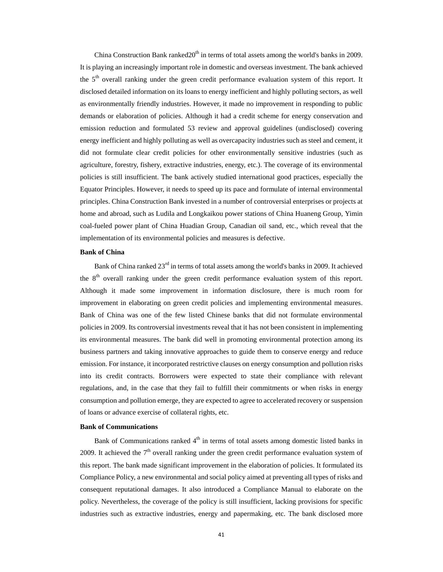China Construction Bank ranked $20<sup>th</sup>$  in terms of total assets among the world's banks in 2009. It is playing an increasingly important role in domestic and overseas investment. The bank achieved the 5<sup>th</sup> overall ranking under the green credit performance evaluation system of this report. It disclosed detailed information on its loans to energy inefficient and highly polluting sectors, as well as environmentally friendly industries. However, it made no improvement in responding to public demands or elaboration of policies. Although it had a credit scheme for energy conservation and emission reduction and formulated 53 review and approval guidelines (undisclosed) covering energy inefficient and highly polluting as well as overcapacity industries such as steel and cement, it did not formulate clear credit policies for other environmentally sensitive industries (such as agriculture, forestry, fishery, extractive industries, energy, etc.). The coverage of its environmental policies is still insufficient. The bank actively studied international good practices, especially the Equator Principles. However, it needs to speed up its pace and formulate of internal environmental principles. China Construction Bank invested in a number of controversial enterprises or projects at home and abroad, such as Ludila and Longkaikou power stations of China Huaneng Group, Yimin coal-fueled power plant of China Huadian Group, Canadian oil sand, etc., which reveal that the implementation of its environmental policies and measures is defective.

#### **Bank of China**

Bank of China ranked  $23<sup>rd</sup>$  in terms of total assets among the world's banks in 2009. It achieved the  $8<sup>th</sup>$  overall ranking under the green credit performance evaluation system of this report. Although it made some improvement in information disclosure, there is much room for improvement in elaborating on green credit policies and implementing environmental measures. Bank of China was one of the few listed Chinese banks that did not formulate environmental policies in 2009. Its controversial investments reveal that it has not been consistent in implementing its environmental measures. The bank did well in promoting environmental protection among its business partners and taking innovative approaches to guide them to conserve energy and reduce emission. For instance, it incorporated restrictive clauses on energy consumption and pollution risks into its credit contracts. Borrowers were expected to state their compliance with relevant regulations, and, in the case that they fail to fulfill their commitments or when risks in energy consumption and pollution emerge, they are expected to agree to accelerated recovery or suspension of loans or advance exercise of collateral rights, etc.

#### **Bank of Communications**

Bank of Communications ranked  $4<sup>th</sup>$  in terms of total assets among domestic listed banks in 2009. It achieved the  $7<sup>th</sup>$  overall ranking under the green credit performance evaluation system of this report. The bank made significant improvement in the elaboration of policies. It formulated its Compliance Policy, a new environmental and social policy aimed at preventing all types of risks and consequent reputational damages. It also introduced a Compliance Manual to elaborate on the policy. Nevertheless, the coverage of the policy is still insufficient, lacking provisions for specific industries such as extractive industries, energy and papermaking, etc. The bank disclosed more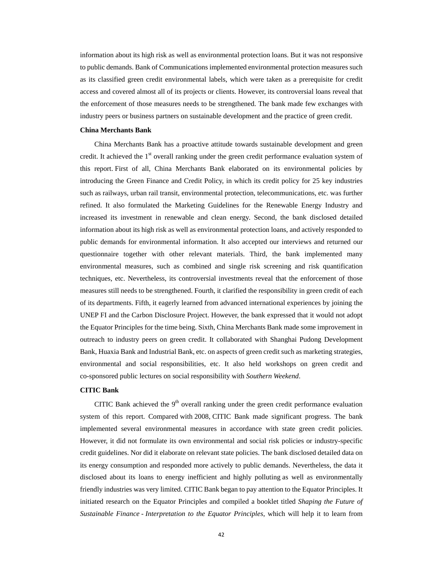information about its high risk as well as environmental protection loans. But it was not responsive to public demands. Bank of Communications implemented environmental protection measures such as its classified green credit environmental labels, which were taken as a prerequisite for credit access and covered almost all of its projects or clients. However, its controversial loans reveal that the enforcement of those measures needs to be strengthened. The bank made few exchanges with industry peers or business partners on sustainable development and the practice of green credit.

#### **China Merchants Bank**

China Merchants Bank has a proactive attitude towards sustainable development and green credit. It achieved the  $1<sup>st</sup>$  overall ranking under the green credit performance evaluation system of this report. First of all, China Merchants Bank elaborated on its environmental policies by introducing the Green Finance and Credit Policy, in which its credit policy for 25 key industries such as railways, urban rail transit, environmental protection, telecommunications, etc. was further refined. It also formulated the Marketing Guidelines for the Renewable Energy Industry and increased its investment in renewable and clean energy. Second, the bank disclosed detailed information about its high risk as well as environmental protection loans, and actively responded to public demands for environmental information. It also accepted our interviews and returned our questionnaire together with other relevant materials. Third, the bank implemented many environmental measures, such as combined and single risk screening and risk quantification techniques, etc. Nevertheless, its controversial investments reveal that the enforcement of those measures still needs to be strengthened. Fourth, it clarified the responsibility in green credit of each of its departments. Fifth, it eagerly learned from advanced international experiences by joining the UNEP FI and the Carbon Disclosure Project. However, the bank expressed that it would not adopt the Equator Principles for the time being. Sixth, China Merchants Bank made some improvement in outreach to industry peers on green credit. It collaborated with Shanghai Pudong Development Bank, Huaxia Bank and Industrial Bank, etc. on aspects of green credit such as marketing strategies, environmental and social responsibilities, etc. It also held workshops on green credit and co-sponsored public lectures on social responsibility with *Southern Weekend*.

#### **CITIC Bank**

CITIC Bank achieved the  $9<sup>th</sup>$  overall ranking under the green credit performance evaluation system of this report. Compared with 2008, CITIC Bank made significant progress. The bank implemented several environmental measures in accordance with state green credit policies. However, it did not formulate its own environmental and social risk policies or industry-specific credit guidelines. Nor did it elaborate on relevant state policies. The bank disclosed detailed data on its energy consumption and responded more actively to public demands. Nevertheless, the data it disclosed about its loans to energy inefficient and highly polluting as well as environmentally friendly industries was very limited. CITIC Bank began to pay attention to the Equator Principles. It initiated research on the Equator Principles and compiled a booklet titled *Shaping the Future of Sustainable Finance - Interpretation to the Equator Principles*, which will help it to learn from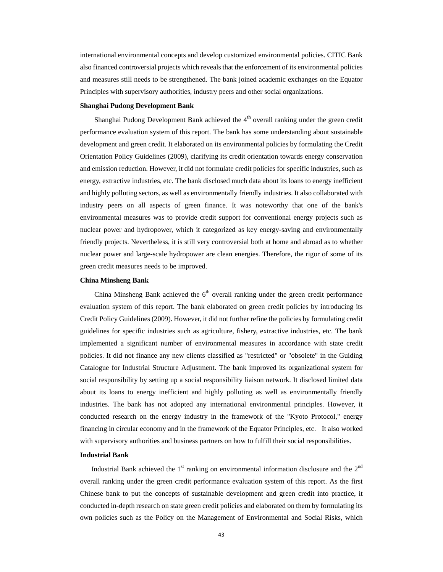international environmental concepts and develop customized environmental policies. CITIC Bank also financed controversial projects which reveals that the enforcement of its environmental policies and measures still needs to be strengthened. The bank joined academic exchanges on the Equator Principles with supervisory authorities, industry peers and other social organizations.

#### **Shanghai Pudong Development Bank**

Shanghai Pudong Development Bank achieved the  $4<sup>th</sup>$  overall ranking under the green credit performance evaluation system of this report. The bank has some understanding about sustainable development and green credit. It elaborated on its environmental policies by formulating the Credit Orientation Policy Guidelines (2009), clarifying its credit orientation towards energy conservation and emission reduction. However, it did not formulate credit policies for specific industries, such as energy, extractive industries, etc. The bank disclosed much data about its loans to energy inefficient and highly polluting sectors, as well as environmentally friendly industries. It also collaborated with industry peers on all aspects of green finance. It was noteworthy that one of the bank's environmental measures was to provide credit support for conventional energy projects such as nuclear power and hydropower, which it categorized as key energy-saving and environmentally friendly projects. Nevertheless, it is still very controversial both at home and abroad as to whether nuclear power and large-scale hydropower are clean energies. Therefore, the rigor of some of its green credit measures needs to be improved.

#### **China Minsheng Bank**

China Minsheng Bank achieved the  $6<sup>th</sup>$  overall ranking under the green credit performance evaluation system of this report. The bank elaborated on green credit policies by introducing its Credit Policy Guidelines (2009). However, it did not further refine the policies by formulating credit guidelines for specific industries such as agriculture, fishery, extractive industries, etc. The bank implemented a significant number of environmental measures in accordance with state credit policies. It did not finance any new clients classified as "restricted" or "obsolete" in the Guiding Catalogue for Industrial Structure Adjustment. The bank improved its organizational system for social responsibility by setting up a social responsibility liaison network. It disclosed limited data about its loans to energy inefficient and highly polluting as well as environmentally friendly industries. The bank has not adopted any international environmental principles. However, it conducted research on the energy industry in the framework of the "Kyoto Protocol," energy financing in circular economy and in the framework of the Equator Principles, etc. It also worked with supervisory authorities and business partners on how to fulfill their social responsibilities.

#### **Industrial Bank**

Industrial Bank achieved the  $1<sup>st</sup>$  ranking on environmental information disclosure and the  $2<sup>nd</sup>$ overall ranking under the green credit performance evaluation system of this report. As the first Chinese bank to put the concepts of sustainable development and green credit into practice, it conducted in-depth research on state green credit policies and elaborated on them by formulating its own policies such as the Policy on the Management of Environmental and Social Risks, which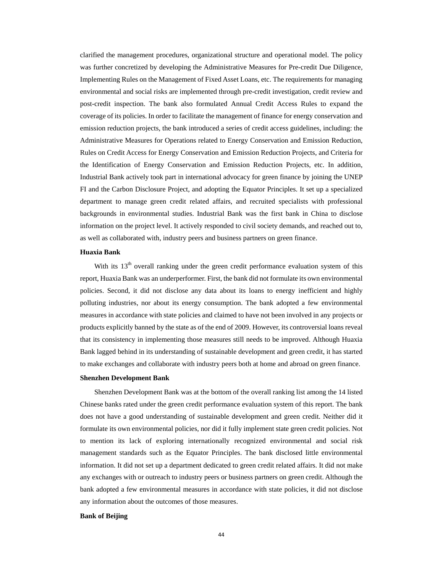clarified the management procedures, organizational structure and operational model. The policy was further concretized by developing the Administrative Measures for Pre-credit Due Diligence, Implementing Rules on the Management of Fixed Asset Loans, etc. The requirements for managing environmental and social risks are implemented through pre-credit investigation, credit review and post-credit inspection. The bank also formulated Annual Credit Access Rules to expand the coverage of its policies. In order to facilitate the management of finance for energy conservation and emission reduction projects, the bank introduced a series of credit access guidelines, including: the Administrative Measures for Operations related to Energy Conservation and Emission Reduction, Rules on Credit Access for Energy Conservation and Emission Reduction Projects, and Criteria for the Identification of Energy Conservation and Emission Reduction Projects, etc. In addition, Industrial Bank actively took part in international advocacy for green finance by joining the UNEP FI and the Carbon Disclosure Project, and adopting the Equator Principles. It set up a specialized department to manage green credit related affairs, and recruited specialists with professional backgrounds in environmental studies. Industrial Bank was the first bank in China to disclose information on the project level. It actively responded to civil society demands, and reached out to, as well as collaborated with, industry peers and business partners on green finance.

#### **Huaxia Bank**

With its  $13<sup>th</sup>$  overall ranking under the green credit performance evaluation system of this report, Huaxia Bank was an underperformer. First, the bank did not formulate its own environmental policies. Second, it did not disclose any data about its loans to energy inefficient and highly polluting industries, nor about its energy consumption. The bank adopted a few environmental measures in accordance with state policies and claimed to have not been involved in any projects or products explicitly banned by the state as of the end of 2009. However, its controversial loans reveal that its consistency in implementing those measures still needs to be improved. Although Huaxia Bank lagged behind in its understanding of sustainable development and green credit, it has started to make exchanges and collaborate with industry peers both at home and abroad on green finance.

#### **Shenzhen Development Bank**

Shenzhen Development Bank was at the bottom of the overall ranking list among the 14 listed Chinese banks rated under the green credit performance evaluation system of this report. The bank does not have a good understanding of sustainable development and green credit. Neither did it formulate its own environmental policies, nor did it fully implement state green credit policies. Not to mention its lack of exploring internationally recognized environmental and social risk management standards such as the Equator Principles. The bank disclosed little environmental information. It did not set up a department dedicated to green credit related affairs. It did not make any exchanges with or outreach to industry peers or business partners on green credit. Although the bank adopted a few environmental measures in accordance with state policies, it did not disclose any information about the outcomes of those measures.

#### **Bank of Beijing**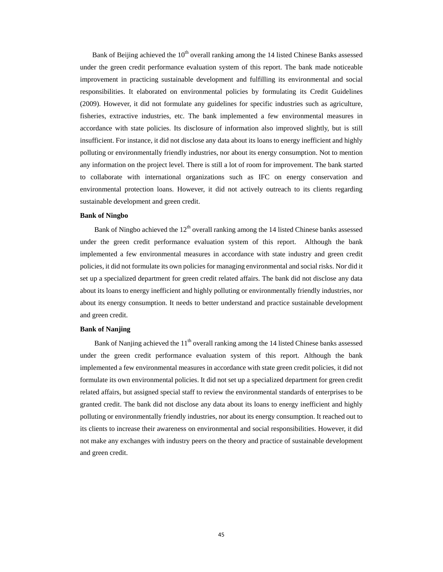Bank of Beijing achieved the 10<sup>th</sup> overall ranking among the 14 listed Chinese Banks assessed under the green credit performance evaluation system of this report. The bank made noticeable improvement in practicing sustainable development and fulfilling its environmental and social responsibilities. It elaborated on environmental policies by formulating its Credit Guidelines (2009). However, it did not formulate any guidelines for specific industries such as agriculture, fisheries, extractive industries, etc. The bank implemented a few environmental measures in accordance with state policies. Its disclosure of information also improved slightly, but is still insufficient. For instance, it did not disclose any data about its loans to energy inefficient and highly polluting or environmentally friendly industries, nor about its energy consumption. Not to mention any information on the project level. There is still a lot of room for improvement. The bank started to collaborate with international organizations such as IFC on energy conservation and environmental protection loans. However, it did not actively outreach to its clients regarding sustainable development and green credit.

#### **Bank of Ningbo**

Bank of Ningbo achieved the  $12<sup>th</sup>$  overall ranking among the 14 listed Chinese banks assessed under the green credit performance evaluation system of this report. Although the bank implemented a few environmental measures in accordance with state industry and green credit policies, it did not formulate its own policies for managing environmental and social risks. Nor did it set up a specialized department for green credit related affairs. The bank did not disclose any data about its loans to energy inefficient and highly polluting or environmentally friendly industries, nor about its energy consumption. It needs to better understand and practice sustainable development and green credit.

#### **Bank of Nanjing**

Bank of Nanjing achieved the  $11<sup>th</sup>$  overall ranking among the 14 listed Chinese banks assessed under the green credit performance evaluation system of this report. Although the bank implemented a few environmental measures in accordance with state green credit policies, it did not formulate its own environmental policies. It did not set up a specialized department for green credit related affairs, but assigned special staff to review the environmental standards of enterprises to be granted credit. The bank did not disclose any data about its loans to energy inefficient and highly polluting or environmentally friendly industries, nor about its energy consumption. It reached out to its clients to increase their awareness on environmental and social responsibilities. However, it did not make any exchanges with industry peers on the theory and practice of sustainable development and green credit.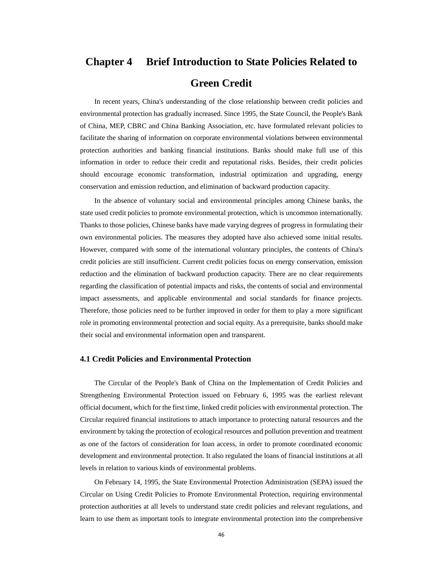# **Chapter 4 Brief Introduction to State Policies Related to**

### **Green Credit**

In recent years, China's understanding of the close relationship between credit policies and environmental protection has gradually increased. Since 1995, the State Council, the People's Bank of China, MEP, CBRC and China Banking Association, etc. have formulated relevant policies to facilitate the sharing of information on corporate environmental violations between environmental protection authorities and banking financial institutions. Banks should make full use of this information in order to reduce their credit and reputational risks. Besides, their credit policies should encourage economic transformation, industrial optimization and upgrading, energy conservation and emission reduction, and elimination of backward production capacity.

In the absence of voluntary social and environmental principles among Chinese banks, the state used credit policies to promote environmental protection, which is uncommon internationally. Thanks to those policies, Chinese banks have made varying degrees of progress in formulating their own environmental policies. The measures they adopted have also achieved some initial results. However, compared with some of the international voluntary principles, the contents of China's credit policies are still insufficient. Current credit policies focus on energy conservation, emission reduction and the elimination of backward production capacity. There are no clear requirements regarding the classification of potential impacts and risks, the contents of social and environmental impact assessments, and applicable environmental and social standards for finance projects. Therefore, those policies need to be further improved in order for them to play a more significant role in promoting environmental protection and social equity. As a prerequisite, banks should make their social and environmental information open and transparent.

#### **4.1 Credit Policies and Environmental Protection**

The Circular of the People's Bank of China on the Implementation of Credit Policies and Strengthening Environmental Protection issued on February 6, 1995 was the earliest relevant official document, which for the first time, linked credit policies with environmental protection. The Circular required financial institutions to attach importance to protecting natural resources and the environment by taking the protection of ecological resources and pollution prevention and treatment as one of the factors of consideration for loan access, in order to promote coordinated economic development and environmental protection. It also regulated the loans of financial institutions at all levels in relation to various kinds of environmental problems.

On February 14, 1995, the State Environmental Protection Administration (SEPA) issued the Circular on Using Credit Policies to Promote Environmental Protection, requiring environmental protection authorities at all levels to understand state credit policies and relevant regulations, and learn to use them as important tools to integrate environmental protection into the comprehensive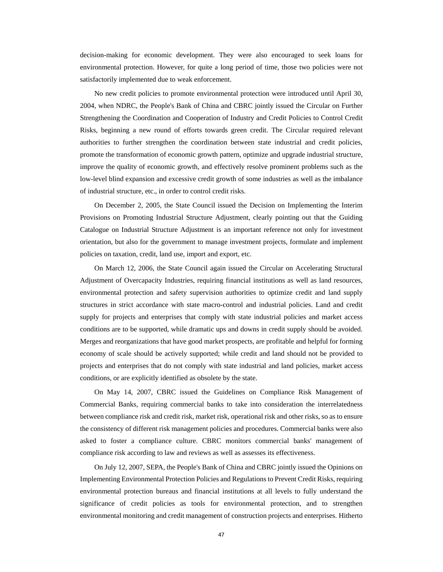decision-making for economic development. They were also encouraged to seek loans for environmental protection. However, for quite a long period of time, those two policies were not satisfactorily implemented due to weak enforcement.

No new credit policies to promote environmental protection were introduced until April 30, 2004, when NDRC, the People's Bank of China and CBRC jointly issued the Circular on Further Strengthening the Coordination and Cooperation of Industry and Credit Policies to Control Credit Risks, beginning a new round of efforts towards green credit. The Circular required relevant authorities to further strengthen the coordination between state industrial and credit policies, promote the transformation of economic growth pattern, optimize and upgrade industrial structure, improve the quality of economic growth, and effectively resolve prominent problems such as the low-level blind expansion and excessive credit growth of some industries as well as the imbalance of industrial structure, etc., in order to control credit risks.

On December 2, 2005, the State Council issued the Decision on Implementing the Interim Provisions on Promoting Industrial Structure Adjustment, clearly pointing out that the Guiding Catalogue on Industrial Structure Adjustment is an important reference not only for investment orientation, but also for the government to manage investment projects, formulate and implement policies on taxation, credit, land use, import and export, etc.

On March 12, 2006, the State Council again issued the Circular on Accelerating Structural Adjustment of Overcapacity Industries, requiring financial institutions as well as land resources, environmental protection and safety supervision authorities to optimize credit and land supply structures in strict accordance with state macro-control and industrial policies. Land and credit supply for projects and enterprises that comply with state industrial policies and market access conditions are to be supported, while dramatic ups and downs in credit supply should be avoided. Merges and reorganizations that have good market prospects, are profitable and helpful for forming economy of scale should be actively supported; while credit and land should not be provided to projects and enterprises that do not comply with state industrial and land policies, market access conditions, or are explicitly identified as obsolete by the state.

On May 14, 2007, CBRC issued the Guidelines on Compliance Risk Management of Commercial Banks, requiring commercial banks to take into consideration the interrelatedness between compliance risk and credit risk, market risk, operational risk and other risks, so as to ensure the consistency of different risk management policies and procedures. Commercial banks were also asked to foster a compliance culture. CBRC monitors commercial banks' management of compliance risk according to law and reviews as well as assesses its effectiveness.

On July 12, 2007, SEPA, the People's Bank of China and CBRC jointly issued the Opinions on Implementing Environmental Protection Policies and Regulations to Prevent Credit Risks, requiring environmental protection bureaus and financial institutions at all levels to fully understand the significance of credit policies as tools for environmental protection, and to strengthen environmental monitoring and credit management of construction projects and enterprises. Hitherto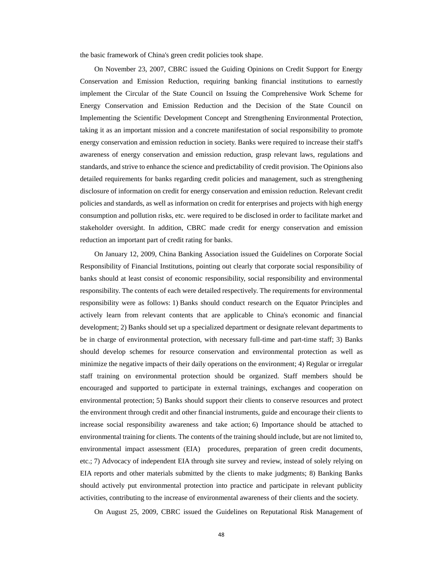the basic framework of China's green credit policies took shape.

On November 23, 2007, CBRC issued the Guiding Opinions on Credit Support for Energy Conservation and Emission Reduction, requiring banking financial institutions to earnestly implement the Circular of the State Council on Issuing the Comprehensive Work Scheme for Energy Conservation and Emission Reduction and the Decision of the State Council on Implementing the Scientific Development Concept and Strengthening Environmental Protection, taking it as an important mission and a concrete manifestation of social responsibility to promote energy conservation and emission reduction in society. Banks were required to increase their staff's awareness of energy conservation and emission reduction, grasp relevant laws, regulations and standards, and strive to enhance the science and predictability of credit provision. The Opinions also detailed requirements for banks regarding credit policies and management, such as strengthening disclosure of information on credit for energy conservation and emission reduction. Relevant credit policies and standards, as well as information on credit for enterprises and projects with high energy consumption and pollution risks, etc. were required to be disclosed in order to facilitate market and stakeholder oversight. In addition, CBRC made credit for energy conservation and emission reduction an important part of credit rating for banks.

On January 12, 2009, China Banking Association issued the Guidelines on Corporate Social Responsibility of Financial Institutions, pointing out clearly that corporate social responsibility of banks should at least consist of economic responsibility, social responsibility and environmental responsibility. The contents of each were detailed respectively. The requirements for environmental responsibility were as follows: 1) Banks should conduct research on the Equator Principles and actively learn from relevant contents that are applicable to China's economic and financial development; 2) Banks should set up a specialized department or designate relevant departments to be in charge of environmental protection, with necessary full-time and part-time staff; 3) Banks should develop schemes for resource conservation and environmental protection as well as minimize the negative impacts of their daily operations on the environment; 4) Regular or irregular staff training on environmental protection should be organized. Staff members should be encouraged and supported to participate in external trainings, exchanges and cooperation on environmental protection; 5) Banks should support their clients to conserve resources and protect the environment through credit and other financial instruments, guide and encourage their clients to increase social responsibility awareness and take action; 6) Importance should be attached to environmental training for clients. The contents of the training should include, but are not limited to, environmental impact assessment (EIA) procedures, preparation of green credit documents, etc.; 7) Advocacy of independent EIA through site survey and review, instead of solely relying on EIA reports and other materials submitted by the clients to make judgments; 8) Banking Banks should actively put environmental protection into practice and participate in relevant publicity activities, contributing to the increase of environmental awareness of their clients and the society.

On August 25, 2009, CBRC issued the Guidelines on Reputational Risk Management of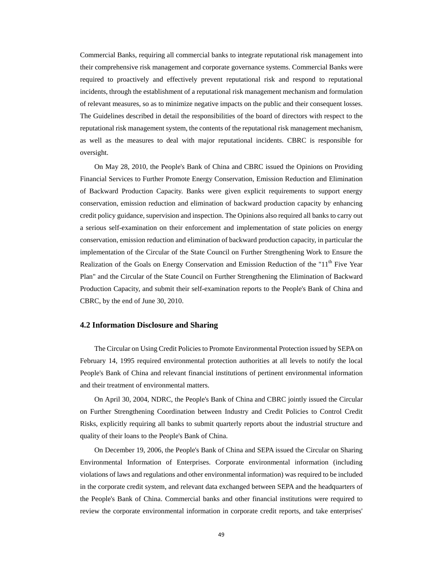Commercial Banks, requiring all commercial banks to integrate reputational risk management into their comprehensive risk management and corporate governance systems. Commercial Banks were required to proactively and effectively prevent reputational risk and respond to reputational incidents, through the establishment of a reputational risk management mechanism and formulation of relevant measures, so as to minimize negative impacts on the public and their consequent losses. The Guidelines described in detail the responsibilities of the board of directors with respect to the reputational risk management system, the contents of the reputational risk management mechanism, as well as the measures to deal with major reputational incidents. CBRC is responsible for oversight.

On May 28, 2010, the People's Bank of China and CBRC issued the Opinions on Providing Financial Services to Further Promote Energy Conservation, Emission Reduction and Elimination of Backward Production Capacity. Banks were given explicit requirements to support energy conservation, emission reduction and elimination of backward production capacity by enhancing credit policy guidance, supervision and inspection. The Opinions also required all banks to carry out a serious self-examination on their enforcement and implementation of state policies on energy conservation, emission reduction and elimination of backward production capacity, in particular the implementation of the Circular of the State Council on Further Strengthening Work to Ensure the Realization of the Goals on Energy Conservation and Emission Reduction of the "11<sup>th</sup> Five Year Plan" and the Circular of the State Council on Further Strengthening the Elimination of Backward Production Capacity, and submit their self-examination reports to the People's Bank of China and CBRC, by the end of June 30, 2010.

#### **4.2 Information Disclosure and Sharing**

The Circular on Using Credit Policies to Promote Environmental Protection issued by SEPA on February 14, 1995 required environmental protection authorities at all levels to notify the local People's Bank of China and relevant financial institutions of pertinent environmental information and their treatment of environmental matters.

On April 30, 2004, NDRC, the People's Bank of China and CBRC jointly issued the Circular on Further Strengthening Coordination between Industry and Credit Policies to Control Credit Risks, explicitly requiring all banks to submit quarterly reports about the industrial structure and quality of their loans to the People's Bank of China.

On December 19, 2006, the People's Bank of China and SEPA issued the Circular on Sharing Environmental Information of Enterprises. Corporate environmental information (including violations of laws and regulations and other environmental information) was required to be included in the corporate credit system, and relevant data exchanged between SEPA and the headquarters of the People's Bank of China. Commercial banks and other financial institutions were required to review the corporate environmental information in corporate credit reports, and take enterprises'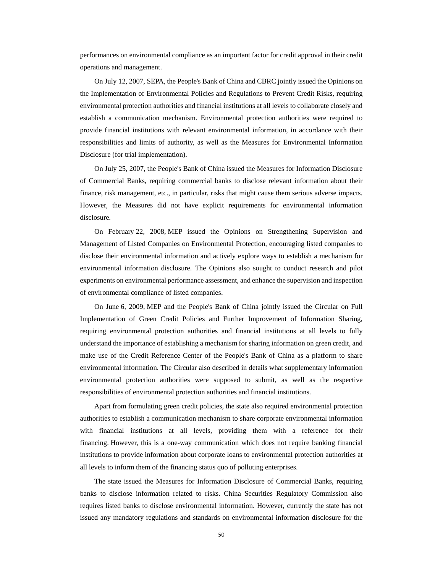performances on environmental compliance as an important factor for credit approval in their credit operations and management.

On July 12, 2007, SEPA, the People's Bank of China and CBRC jointly issued the Opinions on the Implementation of Environmental Policies and Regulations to Prevent Credit Risks, requiring environmental protection authorities and financial institutions at all levels to collaborate closely and establish a communication mechanism. Environmental protection authorities were required to provide financial institutions with relevant environmental information, in accordance with their responsibilities and limits of authority, as well as the Measures for Environmental Information Disclosure (for trial implementation).

On July 25, 2007, the People's Bank of China issued the Measures for Information Disclosure of Commercial Banks, requiring commercial banks to disclose relevant information about their finance, risk management, etc., in particular, risks that might cause them serious adverse impacts. However, the Measures did not have explicit requirements for environmental information disclosure.

On February 22, 2008, MEP issued the Opinions on Strengthening Supervision and Management of Listed Companies on Environmental Protection, encouraging listed companies to disclose their environmental information and actively explore ways to establish a mechanism for environmental information disclosure. The Opinions also sought to conduct research and pilot experiments on environmental performance assessment, and enhance the supervision and inspection of environmental compliance of listed companies.

On June 6, 2009, MEP and the People's Bank of China jointly issued the Circular on Full Implementation of Green Credit Policies and Further Improvement of Information Sharing, requiring environmental protection authorities and financial institutions at all levels to fully understand the importance of establishing a mechanism for sharing information on green credit, and make use of the Credit Reference Center of the People's Bank of China as a platform to share environmental information. The Circular also described in details what supplementary information environmental protection authorities were supposed to submit, as well as the respective responsibilities of environmental protection authorities and financial institutions.

Apart from formulating green credit policies, the state also required environmental protection authorities to establish a communication mechanism to share corporate environmental information with financial institutions at all levels, providing them with a reference for their financing. However, this is a one-way communication which does not require banking financial institutions to provide information about corporate loans to environmental protection authorities at all levels to inform them of the financing status quo of polluting enterprises.

The state issued the Measures for Information Disclosure of Commercial Banks, requiring banks to disclose information related to risks. China Securities Regulatory Commission also requires listed banks to disclose environmental information. However, currently the state has not issued any mandatory regulations and standards on environmental information disclosure for the